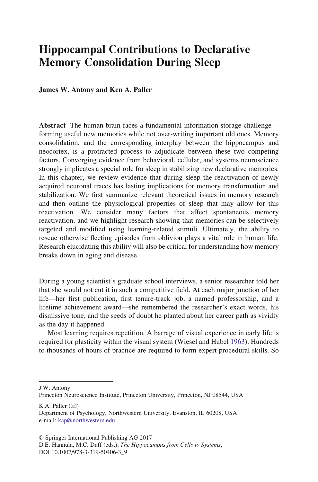# Hippocampal Contributions to Declarative Memory Consolidation During Sleep

#### James W. Antony and Ken A. Paller

Abstract The human brain faces a fundamental information storage challenge forming useful new memories while not over-writing important old ones. Memory consolidation, and the corresponding interplay between the hippocampus and neocortex, is a protracted process to adjudicate between these two competing factors. Converging evidence from behavioral, cellular, and systems neuroscience strongly implicates a special role for sleep in stabilizing new declarative memories. In this chapter, we review evidence that during sleep the reactivation of newly acquired neuronal traces has lasting implications for memory transformation and stabilization. We first summarize relevant theoretical issues in memory research and then outline the physiological properties of sleep that may allow for this reactivation. We consider many factors that affect spontaneous memory reactivation, and we highlight research showing that memories can be selectively targeted and modified using learning-related stimuli. Ultimately, the ability to rescue otherwise fleeting episodes from oblivion plays a vital role in human life. Research elucidating this ability will also be critical for understanding how memory breaks down in aging and disease.

During a young scientist's graduate school interviews, a senior researcher told her that she would not cut it in such a competitive field. At each major junction of her life—her first publication, first tenure-track job, a named professorship, and a lifetime achievement award—she remembered the researcher's exact words, his dismissive tone, and the seeds of doubt he planted about her career path as vividly as the day it happened.

Most learning requires repetition. A barrage of visual experience in early life is required for plasticity within the visual system (Wiesel and Hubel [1963\)](#page-35-0). Hundreds to thousands of hours of practice are required to form expert procedural skills. So

K.A. Paller  $(\boxtimes)$ 

J.W. Antony

Princeton Neuroscience Institute, Princeton University, Princeton, NJ 08544, USA

Department of Psychology, Northwestern University, Evanston, IL 60208, USA e-mail: [kap@northwestern.edu](mailto:kap@northwestern.edu)

<sup>©</sup> Springer International Publishing AG 2017

D.E. Hannula, M.C. Duff (eds.), The Hippocampus from Cells to Systems, DOI 10.1007/978-3-319-50406-3\_9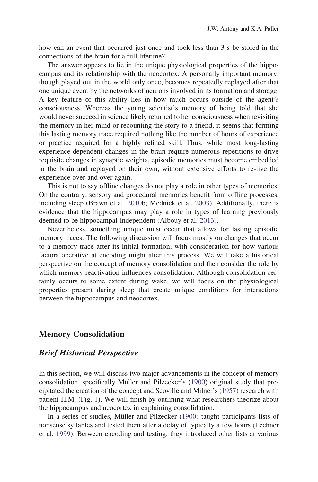how can an event that occurred just once and took less than 3 s be stored in the connections of the brain for a full lifetime?

The answer appears to lie in the unique physiological properties of the hippocampus and its relationship with the neocortex. A personally important memory, though played out in the world only once, becomes repeatedly replayed after that one unique event by the networks of neurons involved in its formation and storage. A key feature of this ability lies in how much occurs outside of the agent's consciousness. Whereas the young scientist's memory of being told that she would never succeed in science likely returned to her consciousness when revisiting the memory in her mind or recounting the story to a friend, it seems that forming this lasting memory trace required nothing like the number of hours of experience or practice required for a highly refined skill. Thus, while most long-lasting experience-dependent changes in the brain require numerous repetitions to drive requisite changes in synaptic weights, episodic memories must become embedded in the brain and replayed on their own, without extensive efforts to re-live the experience over and over again.

This is not to say offline changes do not play a role in other types of memories. On the contrary, sensory and procedural memories benefit from offline processes, including sleep (Brawn et al. [2010b](#page-24-0); Mednick et al. [2003\)](#page-30-0). Additionally, there is evidence that the hippocampus may play a role in types of learning previously deemed to be hippocampal-independent (Albouy et al. [2013](#page-23-0)).

Nevertheless, something unique must occur that allows for lasting episodic memory traces. The following discussion will focus mostly on changes that occur to a memory trace after its initial formation, with consideration for how various factors operative at encoding might alter this process. We will take a historical perspective on the concept of memory consolidation and then consider the role by which memory reactivation influences consolidation. Although consolidation certainly occurs to some extent during wake, we will focus on the physiological properties present during sleep that create unique conditions for interactions between the hippocampus and neocortex.

# Memory Consolidation

#### Brief Historical Perspective

In this section, we will discuss two major advancements in the concept of memory consolidation, specifically Müller and Pilzecker's ([1900\)](#page-30-0) original study that precipitated the creation of the concept and Scoville and Milner's ([1957\)](#page-33-0) research with patient H.M. (Fig. [1](#page-2-0)). We will finish by outlining what researchers theorize about the hippocampus and neocortex in explaining consolidation.

In a series of studies, Müller and Pilzecker [\(1900](#page-30-0)) taught participants lists of nonsense syllables and tested them after a delay of typically a few hours (Lechner et al. [1999\)](#page-29-0). Between encoding and testing, they introduced other lists at various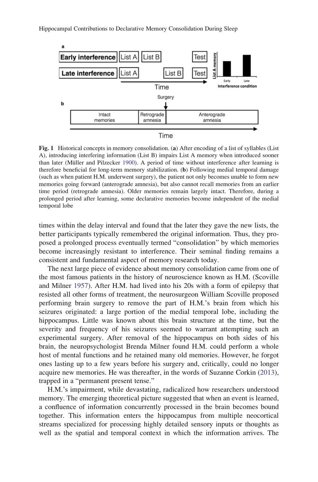<span id="page-2-0"></span>

Fig. 1 Historical concepts in memory consolidation. (a) After encoding of a list of syllables (List A), introducing interfering information (List B) impairs List A memory when introduced sooner than later (Müller and Pilzecker [1900](#page-30-0)). A period of time without interference after learning is therefore beneficial for long-term memory stabilization. (b) Following medial temporal damage (such as when patient H.M. underwent surgery), the patient not only becomes unable to form new memories going forward (anterograde amnesia), but also cannot recall memories from an earlier time period (retrograde amnesia). Older memories remain largely intact. Therefore, during a prolonged period after learning, some declarative memories become independent of the medial temporal lobe

times within the delay interval and found that the later they gave the new lists, the better participants typically remembered the original information. Thus, they proposed a prolonged process eventually termed "consolidation" by which memories become increasingly resistant to interference. Their seminal finding remains a consistent and fundamental aspect of memory research today.

The next large piece of evidence about memory consolidation came from one of the most famous patients in the history of neuroscience known as H.M. (Scoville and Milner [1957\)](#page-33-0). After H.M. had lived into his 20s with a form of epilepsy that resisted all other forms of treatment, the neurosurgeon William Scoville proposed performing brain surgery to remove the part of H.M.'s brain from which his seizures originated: a large portion of the medial temporal lobe, including the hippocampus. Little was known about this brain structure at the time, but the severity and frequency of his seizures seemed to warrant attempting such an experimental surgery. After removal of the hippocampus on both sides of his brain, the neuropsychologist Brenda Milner found H.M. could perform a whole host of mental functions and he retained many old memories. However, he forgot ones lasting up to a few years before his surgery and, critically, could no longer acquire new memories. He was thereafter, in the words of Suzanne Corkin ([2013\)](#page-25-0), trapped in a "permanent present tense."

H.M.'s impairment, while devastating, radicalized how researchers understood memory. The emerging theoretical picture suggested that when an event is learned, a confluence of information concurrently processed in the brain becomes bound together. This information enters the hippocampus from multiple neocortical streams specialized for processing highly detailed sensory inputs or thoughts as well as the spatial and temporal context in which the information arrives. The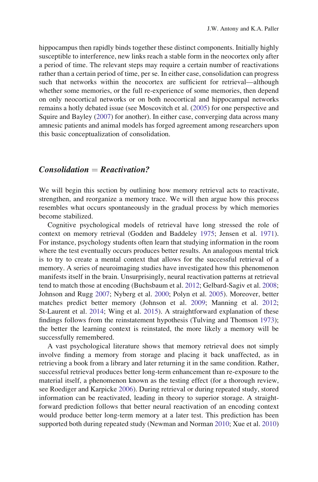hippocampus then rapidly binds together these distinct components. Initially highly susceptible to interference, new links reach a stable form in the neocortex only after a period of time. The relevant steps may require a certain number of reactivations rather than a certain period of time, per se. In either case, consolidation can progress such that networks within the neocortex are sufficient for retrieval—although whether some memories, or the full re-experience of some memories, then depend on only neocortical networks or on both neocortical and hippocampal networks remains a hotly debated issue (see Moscovitch et al. ([2005\)](#page-30-0) for one perspective and Squire and Bayley [\(2007](#page-33-0)) for another). In either case, converging data across many amnesic patients and animal models has forged agreement among researchers upon this basic conceptualization of consolidation.

#### $Consolidation = Reactivation?$

We will begin this section by outlining how memory retrieval acts to reactivate, strengthen, and reorganize a memory trace. We will then argue how this process resembles what occurs spontaneously in the gradual process by which memories become stabilized.

Cognitive psychological models of retrieval have long stressed the role of context on memory retrieval (Godden and Baddeley [1975;](#page-27-0) Jensen et al. [1971\)](#page-28-0). For instance, psychology students often learn that studying information in the room where the test eventually occurs produces better results. An analogous mental trick is to try to create a mental context that allows for the successful retrieval of a memory. A series of neuroimaging studies have investigated how this phenomenon manifests itself in the brain. Unsurprisingly, neural reactivation patterns at retrieval tend to match those at encoding (Buchsbaum et al. [2012;](#page-24-0) Gelbard-Sagiv et al. [2008;](#page-27-0) Johnson and Rugg [2007;](#page-28-0) Nyberg et al. [2000;](#page-31-0) Polyn et al. [2005\)](#page-32-0). Moreover, better matches predict better memory (Johnson et al. [2009;](#page-28-0) Manning et al. [2012;](#page-29-0) St-Laurent et al. [2014;](#page-34-0) Wing et al. [2015\)](#page-35-0). A straightforward explanation of these findings follows from the reinstatement hypothesis (Tulving and Thomson [1973](#page-34-0)); the better the learning context is reinstated, the more likely a memory will be successfully remembered.

A vast psychological literature shows that memory retrieval does not simply involve finding a memory from storage and placing it back unaffected, as in retrieving a book from a library and later returning it in the same condition. Rather, successful retrieval produces better long-term enhancement than re-exposure to the material itself, a phenomenon known as the testing effect (for a thorough review, see Roediger and Karpicke [2006](#page-32-0)). During retrieval or during repeated study, stored information can be reactivated, leading in theory to superior storage. A straightforward prediction follows that better neural reactivation of an encoding context would produce better long-term memory at a later test. This prediction has been supported both during repeated study (Newman and Norman [2010;](#page-30-0) Xue et al. [2010](#page-35-0))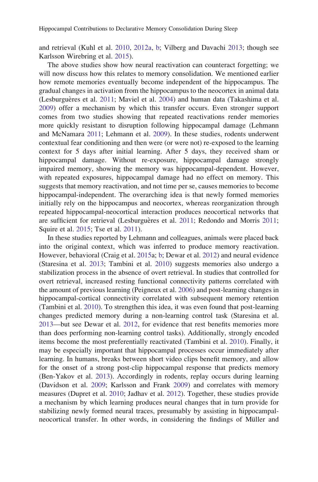and retrieval (Kuhl et al. [2010](#page-29-0), [2012a,](#page-29-0) [b](#page-29-0); Vilberg and Davachi [2013](#page-34-0); though see Karlsson Wirebring et al. [2015\)](#page-28-0).

The above studies show how neural reactivation can counteract forgetting; we will now discuss how this relates to memory consolidation. We mentioned earlier how remote memories eventually become independent of the hippocampus. The gradual changes in activation from the hippocampus to the neocortex in animal data (Lesburguères et al. [2011](#page-29-0); Maviel et al. [2004](#page-30-0)) and human data (Takashima et al. [2009\)](#page-34-0) offer a mechanism by which this transfer occurs. Even stronger support comes from two studies showing that repeated reactivations render memories more quickly resistant to disruption following hippocampal damage (Lehmann and McNamara [2011](#page-29-0); Lehmann et al. [2009\)](#page-29-0). In these studies, rodents underwent contextual fear conditioning and then were (or were not) re-exposed to the learning context for 5 days after initial learning. After 5 days, they received sham or hippocampal damage. Without re-exposure, hippocampal damage strongly impaired memory, showing the memory was hippocampal-dependent. However, with repeated exposures, hippocampal damage had no effect on memory. This suggests that memory reactivation, and not time per se, causes memories to become hippocampal-independent. The overarching idea is that newly formed memories initially rely on the hippocampus and neocortex, whereas reorganization through repeated hippocampal-neocortical interaction produces neocortical networks that are sufficient for retrieval (Lesburguères et al. [2011;](#page-32-0) Redondo and Morris 2011; Squire et al. [2015](#page-33-0); Tse et al. [2011\)](#page-34-0).

In these studies reported by Lehmann and colleagues, animals were placed back into the original context, which was inferred to produce memory reactivation. However, behavioral (Craig et al. [2015a](#page-25-0); [b](#page-25-0); Dewar et al. [2012\)](#page-26-0) and neural evidence (Staresina et al. [2013;](#page-33-0) Tambini et al. [2010](#page-34-0)) suggests memories also undergo a stabilization process in the absence of overt retrieval. In studies that controlled for overt retrieval, increased resting functional connectivity patterns correlated with the amount of previous learning (Peigneux et al. [2006](#page-31-0)) and post-learning changes in hippocampal-cortical connectivity correlated with subsequent memory retention (Tambini et al. [2010](#page-34-0)). To strengthen this idea, it was even found that post-learning changes predicted memory during a non-learning control task (Staresina et al. [2013—](#page-33-0)but see Dewar et al. [2012](#page-26-0), for evidence that rest benefits memories more than does performing non-learning control tasks). Additionally, strongly encoded items become the most preferentially reactivated (Tambini et al. [2010](#page-34-0)). Finally, it may be especially important that hippocampal processes occur immediately after learning. In humans, breaks between short video clips benefit memory, and allow for the onset of a strong post-clip hippocampal response that predicts memory (Ben-Yakov et al. [2013](#page-24-0)). Accordingly in rodents, replay occurs during learning (Davidson et al. [2009;](#page-26-0) Karlsson and Frank [2009\)](#page-28-0) and correlates with memory measures (Dupret et al. [2010;](#page-26-0) Jadhav et al. [2012](#page-28-0)). Together, these studies provide a mechanism by which learning produces neural changes that in turn provide for stabilizing newly formed neural traces, presumably by assisting in hippocampalneocortical transfer. In other words, in considering the findings of Müller and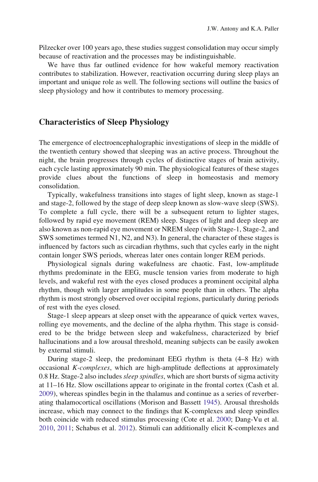Pilzecker over 100 years ago, these studies suggest consolidation may occur simply because of reactivation and the processes may be indistinguishable.

We have thus far outlined evidence for how wakeful memory reactivation contributes to stabilization. However, reactivation occurring during sleep plays an important and unique role as well. The following sections will outline the basics of sleep physiology and how it contributes to memory processing.

# Characteristics of Sleep Physiology

The emergence of electroencephalographic investigations of sleep in the middle of the twentieth century showed that sleeping was an active process. Throughout the night, the brain progresses through cycles of distinctive stages of brain activity, each cycle lasting approximately 90 min. The physiological features of these stages provide clues about the functions of sleep in homeostasis and memory consolidation.

Typically, wakefulness transitions into stages of light sleep, known as stage-1 and stage-2, followed by the stage of deep sleep known as slow-wave sleep (SWS). To complete a full cycle, there will be a subsequent return to lighter stages, followed by rapid eye movement (REM) sleep. Stages of light and deep sleep are also known as non-rapid eye movement or NREM sleep (with Stage-1, Stage-2, and SWS sometimes termed N1, N2, and N3). In general, the character of these stages is influenced by factors such as circadian rhythms, such that cycles early in the night contain longer SWS periods, whereas later ones contain longer REM periods.

Physiological signals during wakefulness are chaotic. Fast, low-amplitude rhythms predominate in the EEG, muscle tension varies from moderate to high levels, and wakeful rest with the eyes closed produces a prominent occipital alpha rhythm, though with larger amplitudes in some people than in others. The alpha rhythm is most strongly observed over occipital regions, particularly during periods of rest with the eyes closed.

Stage-1 sleep appears at sleep onset with the appearance of quick vertex waves, rolling eye movements, and the decline of the alpha rhythm. This stage is considered to be the bridge between sleep and wakefulness, characterized by brief hallucinations and a low arousal threshold, meaning subjects can be easily awoken by external stimuli.

During stage-2 sleep, the predominant EEG rhythm is theta (4–8 Hz) with occasional  $K$ -*complexes*, which are high-amplitude deflections at approximately 0.8 Hz. Stage-2 also includes sleep spindles, which are short bursts of sigma activity at 11–16 Hz. Slow oscillations appear to originate in the frontal cortex (Cash et al. [2009\)](#page-25-0), whereas spindles begin in the thalamus and continue as a series of reverberating thalamocortical oscillations (Morison and Bassett [1945\)](#page-30-0). Arousal thresholds increase, which may connect to the findings that K-complexes and sleep spindles both coincide with reduced stimulus processing (Cote et al. [2000](#page-25-0); Dang-Vu et al. [2010,](#page-25-0) [2011](#page-25-0); Schabus et al. [2012](#page-32-0)). Stimuli can additionally elicit K-complexes and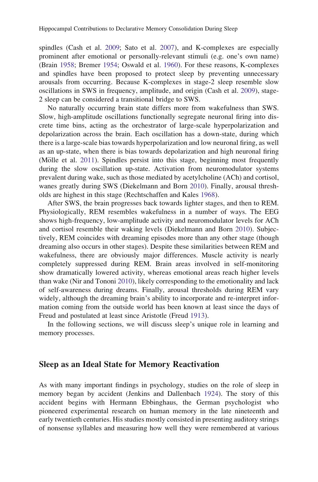spindles (Cash et al. [2009](#page-25-0); Sato et al. [2007](#page-32-0)), and K-complexes are especially prominent after emotional or personally-relevant stimuli (e.g. one's own name) (Brain [1958;](#page-24-0) Bremer [1954](#page-24-0); Oswald et al. [1960](#page-31-0)). For these reasons, K-complexes and spindles have been proposed to protect sleep by preventing unnecessary arousals from occurring. Because K-complexes in stage-2 sleep resemble slow oscillations in SWS in frequency, amplitude, and origin (Cash et al. [2009\)](#page-25-0), stage-2 sleep can be considered a transitional bridge to SWS.

No naturally occurring brain state differs more from wakefulness than SWS. Slow, high-amplitude oscillations functionally segregate neuronal firing into discrete time bins, acting as the orchestrator of large-scale hyperpolarization and depolarization across the brain. Each oscillation has a down-state, during which there is a large-scale bias towards hyperpolarization and low neuronal firing, as well as an up-state, when there is bias towards depolarization and high neuronal firing (Mölle et al.  $2011$ ). Spindles persist into this stage, beginning most frequently during the slow oscillation up-state. Activation from neuromodulator systems prevalent during wake, such as those mediated by acetylcholine (ACh) and cortisol, wanes greatly during SWS (Diekelmann and Born [2010\)](#page-26-0). Finally, arousal thresholds are highest in this stage (Rechtschaffen and Kales [1968](#page-32-0)).

After SWS, the brain progresses back towards lighter stages, and then to REM. Physiologically, REM resembles wakefulness in a number of ways. The EEG shows high-frequency, low-amplitude activity and neuromodulator levels for ACh and cortisol resemble their waking levels (Diekelmann and Born [2010](#page-26-0)). Subjectively, REM coincides with dreaming episodes more than any other stage (though dreaming also occurs in other stages). Despite these similarities between REM and wakefulness, there are obviously major differences. Muscle activity is nearly completely suppressed during REM. Brain areas involved in self-monitoring show dramatically lowered activity, whereas emotional areas reach higher levels than wake (Nir and Tononi [2010\)](#page-31-0), likely corresponding to the emotionality and lack of self-awareness during dreams. Finally, arousal thresholds during REM vary widely, although the dreaming brain's ability to incorporate and re-interpret information coming from the outside world has been known at least since the days of Freud and postulated at least since Aristotle (Freud [1913](#page-27-0)).

In the following sections, we will discuss sleep's unique role in learning and memory processes.

## Sleep as an Ideal State for Memory Reactivation

As with many important findings in psychology, studies on the role of sleep in memory began by accident (Jenkins and Dallenbach [1924\)](#page-28-0). The story of this accident begins with Hermann Ebbinghaus, the German psychologist who pioneered experimental research on human memory in the late nineteenth and early twentieth centuries. His studies mostly consisted in presenting auditory strings of nonsense syllables and measuring how well they were remembered at various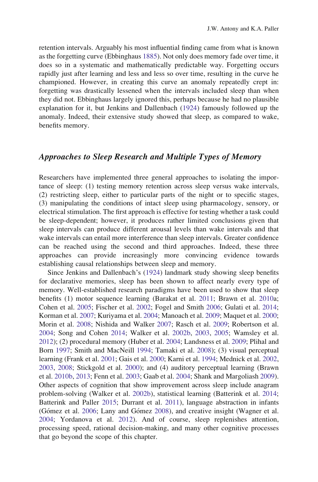retention intervals. Arguably his most influential finding came from what is known as the forgetting curve (Ebbinghaus [1885](#page-26-0)). Not only does memory fade over time, it does so in a systematic and mathematically predictable way. Forgetting occurs rapidly just after learning and less and less so over time, resulting in the curve he championed. However, in creating this curve an anomaly repeatedly crept in: forgetting was drastically lessened when the intervals included sleep than when they did not. Ebbinghaus largely ignored this, perhaps because he had no plausible explanation for it, but Jenkins and Dallenbach [\(1924](#page-28-0)) famously followed up the anomaly. Indeed, their extensive study showed that sleep, as compared to wake, benefits memory.

# Approaches to Sleep Research and Multiple Types of Memory

Researchers have implemented three general approaches to isolating the importance of sleep: (1) testing memory retention across sleep versus wake intervals, (2) restricting sleep, either to particular parts of the night or to specific stages, (3) manipulating the conditions of intact sleep using pharmacology, sensory, or electrical stimulation. The first approach is effective for testing whether a task could be sleep-dependent; however, it produces rather limited conclusions given that sleep intervals can produce different arousal levels than wake intervals and that wake intervals can entail more interference than sleep intervals. Greater confidence can be reached using the second and third approaches. Indeed, these three approaches can provide increasingly more convincing evidence towards establishing causal relationships between sleep and memory.

Since Jenkins and Dallenbach's [\(1924](#page-28-0)) landmark study showing sleep benefits for declarative memories, sleep has been shown to affect nearly every type of memory. Well-established research paradigms have been used to show that sleep benefits (1) motor sequence learning (Barakat et al. [2011](#page-23-0); Brawn et al. [2010](#page-24-0)a; Cohen et al. [2005;](#page-25-0) Fischer et al. [2002](#page-27-0); Fogel and Smith [2006](#page-27-0); Gulati et al. [2014;](#page-27-0) Korman et al. [2007;](#page-28-0) Kuriyama et al. [2004](#page-29-0); Manoach et al. [2009;](#page-29-0) Maquet et al. [2000;](#page-30-0) Morin et al. [2008;](#page-30-0) Nishida and Walker [2007;](#page-31-0) Rasch et al. [2009;](#page-32-0) Robertson et al. [2004;](#page-32-0) Song and Cohen [2014](#page-33-0); Walker et al. [2002b](#page-35-0), [2003,](#page-35-0) [2005](#page-35-0); Wamsley et al. [2012\)](#page-35-0); (2) procedural memory (Huber et al. [2004](#page-28-0); Landsness et al. [2009](#page-29-0); Plihal and Born [1997](#page-31-0); Smith and MacNeill [1994;](#page-33-0) Tamaki et al. [2008](#page-34-0)); (3) visual perceptual learning (Frank et al. [2001](#page-27-0); Gais et al. [2000;](#page-27-0) Karni et al. [1994](#page-28-0); Mednick et al. [2002](#page-30-0), [2003,](#page-30-0) [2008](#page-30-0); Stickgold et al. [2000](#page-34-0)); and (4) auditory perceptual learning (Brawn et al. [2010b](#page-24-0), [2013;](#page-24-0) Fenn et al. [2003](#page-27-0); Gaab et al. [2004](#page-27-0); Shank and Margoliash [2009\)](#page-33-0). Other aspects of cognition that show improvement across sleep include anagram problem-solving (Walker et al. [2002b](#page-35-0)), statistical learning (Batterink et al. [2014;](#page-23-0) Batterink and Paller [2015](#page-23-0); Durrant et al. [2011](#page-26-0)), language abstraction in infants (Gómez et al. [2006](#page-27-0); Lany and Gómez [2008\)](#page-29-0), and creative insight (Wagner et al. [2004;](#page-35-0) Yordanova et al. [2012\)](#page-35-0). And of course, sleep replenishes attention, processing speed, rational decision-making, and many other cognitive processes that go beyond the scope of this chapter.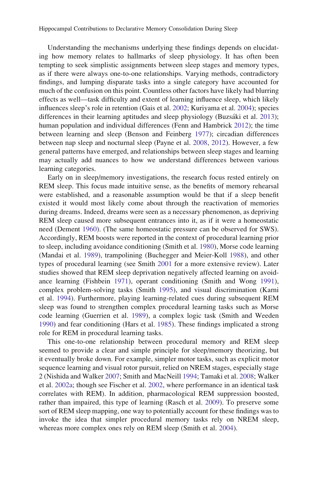Understanding the mechanisms underlying these findings depends on elucidating how memory relates to hallmarks of sleep physiology. It has often been tempting to seek simplistic assignments between sleep stages and memory types, as if there were always one-to-one relationships. Varying methods, contradictory findings, and lumping disparate tasks into a single category have accounted for much of the confusion on this point. Countless other factors have likely had blurring effects as well—task difficulty and extent of learning influence sleep, which likely influences sleep's role in retention (Gais et al. [2002;](#page-27-0) Kuriyama et al. [2004](#page-29-0)); species differences in their learning aptitudes and sleep physiology (Buzsáki et al. [2013](#page-24-0)); human population and individual differences (Fenn and Hambrick [2012\)](#page-26-0); the time between learning and sleep (Benson and Feinberg [1977](#page-24-0)); circadian differences between nap sleep and nocturnal sleep (Payne et al. [2008,](#page-31-0) [2012](#page-31-0)). However, a few general patterns have emerged, and relationships between sleep stages and learning may actually add nuances to how we understand differences between various learning categories.

Early on in sleep/memory investigations, the research focus rested entirely on REM sleep. This focus made intuitive sense, as the benefits of memory rehearsal were established, and a reasonable assumption would be that if a sleep benefit existed it would most likely come about through the reactivation of memories during dreams. Indeed, dreams were seen as a necessary phenomenon, as depriving REM sleep caused more subsequent entrances into it, as if it were a homeostatic need (Dement [1960\)](#page-26-0). (The same homeostatic pressure can be observed for SWS). Accordingly, REM boosts were reported in the context of procedural learning prior to sleep, including avoidance conditioning (Smith et al. [1980\)](#page-33-0), Morse code learning (Mandai et al. [1989\)](#page-29-0), trampolining (Buchegger and Meier-Koll [1988](#page-24-0)), and other types of procedural learning (see Smith [2001](#page-33-0) for a more extensive review). Later studies showed that REM sleep deprivation negatively affected learning on avoidance learning (Fishbein [1971\)](#page-27-0), operant conditioning (Smith and Wong [1991\)](#page-33-0), complex problem-solving tasks (Smith [1995](#page-33-0)), and visual discrimination (Karni et al. [1994](#page-28-0)). Furthermore, playing learning-related cues during subsequent REM sleep was found to strengthen complex procedural learning tasks such as Morse code learning (Guerrien et al. [1989\)](#page-27-0), a complex logic task (Smith and Weeden [1990\)](#page-33-0) and fear conditioning (Hars et al. [1985](#page-28-0)). These findings implicated a strong role for REM in procedural learning tasks.

This one-to-one relationship between procedural memory and REM sleep seemed to provide a clear and simple principle for sleep/memory theorizing, but it eventually broke down. For example, simpler motor tasks, such as explicit motor sequence learning and visual rotor pursuit, relied on NREM stages, especially stage 2 (Nishida and Walker [2007](#page-31-0); Smith and MacNeill [1994](#page-33-0); Tamaki et al. [2008](#page-34-0); Walker et al. [2002a](#page-35-0); though see Fischer et al. [2002](#page-27-0), where performance in an identical task correlates with REM). In addition, pharmacological REM suppression boosted, rather than impaired, this type of learning (Rasch et al. [2009\)](#page-32-0). To preserve some sort of REM sleep mapping, one way to potentially account for these findings was to invoke the idea that simpler procedural memory tasks rely on NREM sleep, whereas more complex ones rely on REM sleep (Smith et al. [2004\)](#page-33-0).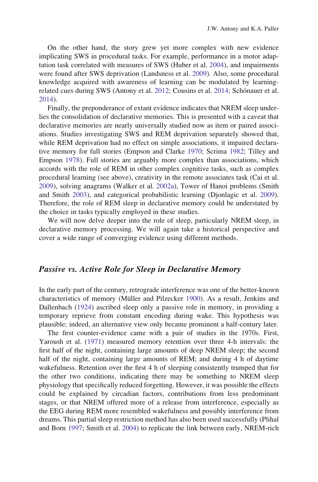On the other hand, the story grew yet more complex with new evidence implicating SWS in procedural tasks. For example, performance in a motor adaptation task correlated with measures of SWS (Huber et al. [2004\)](#page-28-0), and impairments were found after SWS deprivation (Landsness et al. [2009\)](#page-29-0). Also, some procedural knowledge acquired with awareness of learning can be modulated by learning-related cues during SWS (Antony et al. [2012;](#page-23-0) Cousins et al. [2014;](#page-25-0) Schönauer et al. [2014\)](#page-33-0).

Finally, the preponderance of extant evidence indicates that NREM sleep underlies the consolidation of declarative memories. This is presented with a caveat that declarative memories are nearly universally studied now as item or paired associations. Studies investigating SWS and REM deprivation separately showed that, while REM deprivation had no effect on simple associations, it impaired declarative memory for full stories (Empson and Clarke [1970](#page-26-0); Scrima [1982](#page-33-0); Tilley and Empson [1978](#page-34-0)). Full stories are arguably more complex than associations, which accords with the role of REM in other complex cognitive tasks, such as complex procedural learning (see above), creativity in the remote associates task (Cai et al. [2009\)](#page-25-0), solving anagrams (Walker et al. [2002a\)](#page-35-0), Tower of Hanoi problems (Smith and Smith [2003](#page-33-0)), and categorical probabilistic learning (Djonlagic et al. [2009\)](#page-26-0). Therefore, the role of REM sleep in declarative memory could be understated by the choice in tasks typically employed in these studies.

We will now delve deeper into the role of sleep, particularly NREM sleep, in declarative memory processing. We will again take a historical perspective and cover a wide range of converging evidence using different methods.

#### Passive vs. Active Role for Sleep in Declarative Memory

In the early part of the century, retrograde interference was one of the better-known characteristics of memory (Müller and Pilzecker [1900\)](#page-30-0). As a result, Jenkins and Dallenbach [\(1924](#page-28-0)) ascribed sleep only a passive role in memory, in providing a temporary reprieve from constant encoding during wake. This hypothesis was plausible; indeed, an alternative view only became prominent a half-century later.

The first counter-evidence came with a pair of studies in the 1970s. First, Yaroush et al. ([1971\)](#page-35-0) measured memory retention over three 4-h intervals: the first half of the night, containing large amounts of deep NREM sleep; the second half of the night, containing large amounts of REM; and during 4 h of daytime wakefulness. Retention over the first 4 h of sleeping consistently trumped that for the other two conditions, indicating there may be something to NREM sleep physiology that specifically reduced forgetting. However, it was possible the effects could be explained by circadian factors, contributions from less predominant stages, or that NREM offered more of a release from interference, especially as the EEG during REM more resembled wakefulness and possibly interference from dreams. This partial sleep restriction method has also been used successfully (Plihal and Born [1997;](#page-31-0) Smith et al. [2004\)](#page-33-0) to replicate the link between early, NREM-rich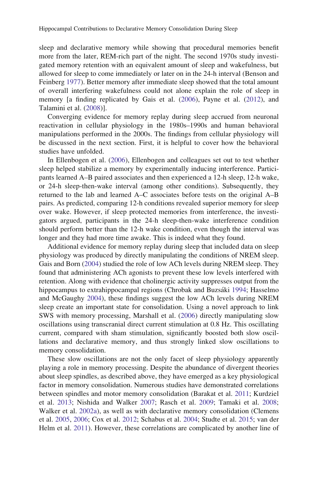sleep and declarative memory while showing that procedural memories benefit more from the later, REM-rich part of the night. The second 1970s study investigated memory retention with an equivalent amount of sleep and wakefulness, but allowed for sleep to come immediately or later on in the 24-h interval (Benson and Feinberg [1977\)](#page-24-0). Better memory after immediate sleep showed that the total amount of overall interfering wakefulness could not alone explain the role of sleep in memory [a finding replicated by Gais et al. [\(2006](#page-27-0)), Payne et al. [\(2012](#page-31-0)), and Talamini et al. ([2008\)](#page-34-0)].

Converging evidence for memory replay during sleep accrued from neuronal reactivation in cellular physiology in the 1980s–1990s and human behavioral manipulations performed in the 2000s. The findings from cellular physiology will be discussed in the next section. First, it is helpful to cover how the behavioral studies have unfolded.

In Ellenbogen et al. [\(2006](#page-26-0)), Ellenbogen and colleagues set out to test whether sleep helped stabilize a memory by experimentally inducing interference. Participants learned A–B paired associates and then experienced a 12-h sleep, 12-h wake, or 24-h sleep-then-wake interval (among other conditions). Subsequently, they returned to the lab and learned A–C associates before tests on the original A–B pairs. As predicted, comparing 12-h conditions revealed superior memory for sleep over wake. However, if sleep protected memories from interference, the investigators argued, participants in the 24-h sleep-then-wake interference condition should perform better than the 12-h wake condition, even though the interval was longer and they had more time awake. This is indeed what they found.

Additional evidence for memory replay during sleep that included data on sleep physiology was produced by directly manipulating the conditions of NREM sleep. Gais and Born ([2004\)](#page-27-0) studied the role of low ACh levels during NREM sleep. They found that administering ACh agonists to prevent these low levels interfered with retention. Along with evidence that cholinergic activity suppresses output from the hippocampus to extrahippocampal regions (Chrobak and Buzsáki [1994](#page-25-0); Hasselmo and McGaughy [2004](#page-28-0)), these findings suggest the low ACh levels during NREM sleep create an important state for consolidation. Using a novel approach to link SWS with memory processing, Marshall et al. ([2006\)](#page-30-0) directly manipulating slow oscillations using transcranial direct current stimulation at 0.8 Hz. This oscillating current, compared with sham stimulation, significantly boosted both slow oscillations and declarative memory, and thus strongly linked slow oscillations to memory consolidation.

These slow oscillations are not the only facet of sleep physiology apparently playing a role in memory processing. Despite the abundance of divergent theories about sleep spindles, as described above, they have emerged as a key physiological factor in memory consolidation. Numerous studies have demonstrated correlations between spindles and motor memory consolidation (Barakat et al. [2011;](#page-23-0) Kurdziel et al. [2013](#page-29-0); Nishida and Walker [2007](#page-31-0); Rasch et al. [2009](#page-32-0); Tamaki et al. [2008;](#page-34-0) Walker et al. [2002a\)](#page-35-0), as well as with declarative memory consolidation (Clemens et al. [2005](#page-25-0), [2006;](#page-25-0) Cox et al. [2012](#page-25-0); Schabus et al. [2004](#page-32-0); Studte et al. [2015;](#page-34-0) van der Helm et al. [2011\)](#page-34-0). However, these correlations are complicated by another line of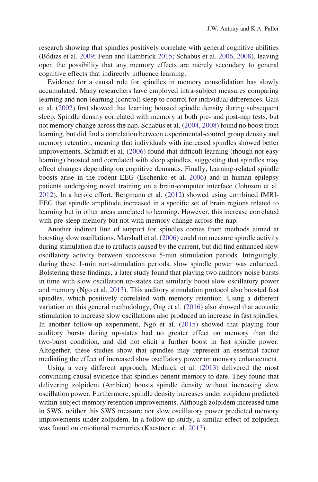research showing that spindles positively correlate with general cognitive abilities (Bo´dizs et al. [2009](#page-24-0); Fenn and Hambrick [2015](#page-27-0); Schabus et al. [2006](#page-32-0), [2008](#page-32-0)), leaving open the possibility that any memory effects are merely secondary to general cognitive effects that indirectly influence learning.

Evidence for a causal role for spindles in memory consolidation has slowly accumulated. Many researchers have employed intra-subject measures comparing learning and non-learning (control) sleep to control for individual differences. Gais et al. ([2002\)](#page-27-0) first showed that learning boosted spindle density during subsequent sleep. Spindle density correlated with memory at both pre- and post-nap tests, but not memory change across the nap. Schabus et al. ([2004,](#page-32-0) [2008\)](#page-32-0) found no boost from learning, but did find a correlation between experimental-control group density and memory retention, meaning that individuals with increased spindles showed better improvements. Schmidt et al. [\(2006](#page-33-0)) found that difficult learning (though not easy learning) boosted and correlated with sleep spindles, suggesting that spindles may effect changes depending on cognitive demands. Finally, learning-related spindle boosts arise in the rodent EEG (Eschenko et al. [2006\)](#page-26-0) and in human epilepsy patients undergoing novel training on a brain-computer interface (Johnson et al. [2012\)](#page-28-0). In a heroic effort, Bergmann et al. ([2012](#page-24-0)) showed using combined fMRI-EEG that spindle amplitude increased in a specific set of brain regions related to learning but in other areas unrelated to learning. However, this increase correlated with pre-sleep memory but not with memory change across the nap.

Another indirect line of support for spindles comes from methods aimed at boosting slow oscillations. Marshall et al. [\(2006](#page-30-0)) could not measure spindle activity during stimulation due to artifacts caused by the current, but did find enhanced slow oscillatory activity between successive 5-min stimulation periods. Intriguingly, during these 1-min non-stimulation periods, slow spindle power was enhanced. Bolstering these findings, a later study found that playing two auditory noise bursts in time with slow oscillation up-states can similarly boost slow oscillatory power and memory (Ngo et al. [2013](#page-30-0)). This auditory stimulation protocol also boosted fast spindles, which positively correlated with memory retention. Using a different variation on this general methodology, Ong et al. [\(2016](#page-31-0)) also showed that acoustic stimulation to increase slow oscillations also produced an increase in fast spindles. In another follow-up experiment, Ngo et al. ([2015\)](#page-31-0) showed that playing four auditory bursts during up-states had no greater effect on memory than the two-burst condition, and did not elicit a further boost in fast spindle power. Altogether, these studies show that spindles may represent an essential factor mediating the effect of increased slow oscillatory power on memory enhancement.

Using a very different approach, Mednick et al. [\(2013](#page-30-0)) delivered the most convincing causal evidence that spindles benefit memory to date. They found that delivering zolpidem (Ambien) boosts spindle density without increasing slow oscillation power. Furthermore, spindle density increases under zolpidem predicted within-subject memory retention improvements. Although zolpidem increased time in SWS, neither this SWS measure nor slow oscillatory power predicted memory improvements under zolpidem. In a follow-up study, a similar effect of zolpidem was found on emotional memories (Kaestner et al. [2013\)](#page-28-0).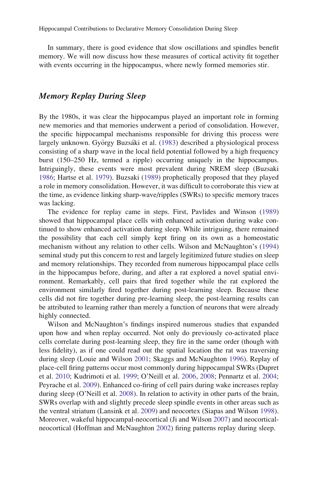In summary, there is good evidence that slow oscillations and spindles benefit memory. We will now discuss how these measures of cortical activity fit together with events occurring in the hippocampus, where newly formed memories stir.

# Memory Replay During Sleep

By the 1980s, it was clear the hippocampus played an important role in forming new memories and that memories underwent a period of consolidation. However, the specific hippocampal mechanisms responsible for driving this process were largely unknown. György Buzsáki et al. [\(1983\)](#page-24-0) described a physiological process consisting of a sharp wave in the local field potential followed by a high frequency burst (150–250 Hz, termed a ripple) occurring uniquely in the hippocampus. Intriguingly, these events were most prevalent during NREM sleep (Buzsaki [1986;](#page-24-0) Hartse et al. [1979\)](#page-28-0). Buzsaki ([1989\)](#page-24-0) prophetically proposed that they played a role in memory consolidation. However, it was difficult to corroborate this view at the time, as evidence linking sharp-wave/ripples (SWRs) to specific memory traces was lacking.

The evidence for replay came in steps. First, Pavlides and Winson [\(1989](#page-31-0)) showed that hippocampal place cells with enhanced activation during wake continued to show enhanced activation during sleep. While intriguing, there remained the possibility that each cell simply kept firing on its own as a homeostatic mechanism without any relation to other cells. Wilson and McNaughton's [\(1994](#page-35-0)) seminal study put this concern to rest and largely legitimized future studies on sleep and memory relationships. They recorded from numerous hippocampal place cells in the hippocampus before, during, and after a rat explored a novel spatial environment. Remarkably, cell pairs that fired together while the rat explored the environment similarly fired together during post-learning sleep. Because these cells did not fire together during pre-learning sleep, the post-learning results can be attributed to learning rather than merely a function of neurons that were already highly connected.

Wilson and McNaughton's findings inspired numerous studies that expanded upon how and when replay occurred. Not only do previously co-activated place cells correlate during post-learning sleep, they fire in the same order (though with less fidelity), as if one could read out the spatial location the rat was traversing during sleep (Louie and Wilson [2001;](#page-29-0) Skaggs and McNaughton [1996\)](#page-33-0). Replay of place-cell firing patterns occur most commonly during hippocampal SWRs (Dupret et al. [2010;](#page-26-0) Kudrimoti et al. [1999](#page-28-0); O'Neill et al. [2006](#page-31-0), [2008](#page-31-0); Pennartz et al. [2004;](#page-31-0) Peyrache et al. [2009](#page-31-0)). Enhanced co-firing of cell pairs during wake increases replay during sleep (O'Neill et al. [2008\)](#page-31-0). In relation to activity in other parts of the brain, SWRs overlap with and slightly precede sleep spindle events in other areas such as the ventral striatum (Lansink et al. [2009\)](#page-29-0) and neocortex (Siapas and Wilson [1998\)](#page-33-0). Moreover, wakeful hippocampal-neocortical (Ji and Wilson [2007](#page-28-0)) and neocorticalneocortical (Hoffman and McNaughton [2002](#page-28-0)) firing patterns replay during sleep.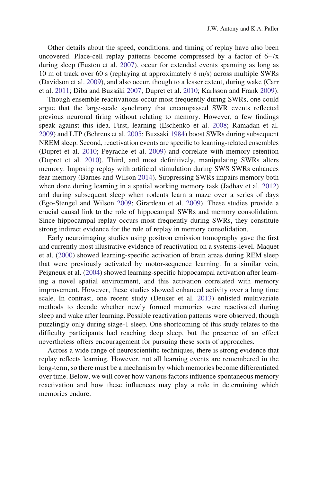Other details about the speed, conditions, and timing of replay have also been uncovered. Place-cell replay patterns become compressed by a factor of  $6-7x$ during sleep (Euston et al. [2007\)](#page-26-0), occur for extended events spanning as long as 10 m of track over 60 s (replaying at approximately 8 m/s) across multiple SWRs (Davidson et al. [2009\)](#page-26-0), and also occur, though to a lesser extent, during wake (Carr et al. [2011](#page-25-0); Diba and Buzsáki [2007](#page-26-0); Dupret et al. [2010](#page-26-0); Karlsson and Frank [2009\)](#page-28-0).

Though ensemble reactivations occur most frequently during SWRs, one could argue that the large-scale synchrony that encompassed SWR events reflected previous neuronal firing without relating to memory. However, a few findings speak against this idea. First, learning (Eschenko et al. [2008;](#page-26-0) Ramadan et al. [2009\)](#page-32-0) and LTP (Behrens et al. [2005](#page-23-0); Buzsaki [1984\)](#page-24-0) boost SWRs during subsequent NREM sleep. Second, reactivation events are specific to learning-related ensembles (Dupret et al. [2010;](#page-26-0) Peyrache et al. [2009](#page-31-0)) and correlate with memory retention (Dupret et al. [2010](#page-26-0)). Third, and most definitively, manipulating SWRs alters memory. Imposing replay with artificial stimulation during SWS SWRs enhances fear memory (Barnes and Wilson [2014\)](#page-23-0). Suppressing SWRs impairs memory both when done during learning in a spatial working memory task (Jadhav et al. [2012](#page-28-0)) and during subsequent sleep when rodents learn a maze over a series of days (Ego-Stengel and Wilson [2009;](#page-26-0) Girardeau et al. [2009](#page-27-0)). These studies provide a crucial causal link to the role of hippocampal SWRs and memory consolidation. Since hippocampal replay occurs most frequently during SWRs, they constitute strong indirect evidence for the role of replay in memory consolidation.

Early neuroimaging studies using positron emission tomography gave the first and currently most illustrative evidence of reactivation on a systems-level. Maquet et al. [\(2000](#page-30-0)) showed learning-specific activation of brain areas during REM sleep that were previously activated by motor-sequence learning. In a similar vein, Peigneux et al. [\(2004](#page-31-0)) showed learning-specific hippocampal activation after learning a novel spatial environment, and this activation correlated with memory improvement. However, these studies showed enhanced activity over a long time scale. In contrast, one recent study (Deuker et al. [2013\)](#page-26-0) enlisted multivariate methods to decode whether newly formed memories were reactivated during sleep and wake after learning. Possible reactivation patterns were observed, though puzzlingly only during stage-1 sleep. One shortcoming of this study relates to the difficulty participants had reaching deep sleep, but the presence of an effect nevertheless offers encouragement for pursuing these sorts of approaches.

Across a wide range of neuroscientific techniques, there is strong evidence that replay reflects learning. However, not all learning events are remembered in the long-term, so there must be a mechanism by which memories become differentiated over time. Below, we will cover how various factors influence spontaneous memory reactivation and how these influences may play a role in determining which memories endure.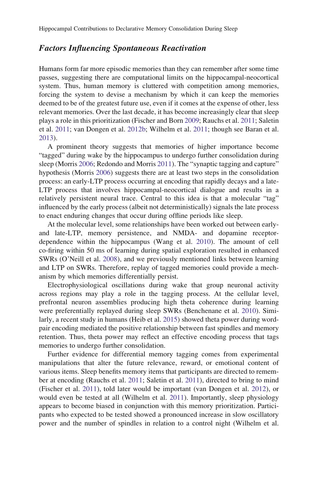# Factors Influencing Spontaneous Reactivation

Humans form far more episodic memories than they can remember after some time passes, suggesting there are computational limits on the hippocampal-neocortical system. Thus, human memory is cluttered with competition among memories, forcing the system to devise a mechanism by which it can keep the memories deemed to be of the greatest future use, even if it comes at the expense of other, less relevant memories. Over the last decade, it has become increasingly clear that sleep plays a role in this prioritization (Fischer and Born [2009](#page-27-0); Rauchs et al. [2011;](#page-32-0) Saletin et al. [2011](#page-32-0); van Dongen et al. [2012b](#page-34-0); Wilhelm et al. [2011](#page-35-0); though see Baran et al. [2013\)](#page-23-0).

A prominent theory suggests that memories of higher importance become "tagged" during wake by the hippocampus to undergo further consolidation during sleep (Morris [2006;](#page-30-0) Redondo and Morris [2011\)](#page-32-0). The "synaptic tagging and capture" hypothesis (Morris [2006\)](#page-30-0) suggests there are at least two steps in the consolidation process: an early-LTP process occurring at encoding that rapidly decays and a late-LTP process that involves hippocampal-neocortical dialogue and results in a relatively persistent neural trace. Central to this idea is that a molecular "tag" influenced by the early process (albeit not deterministically) signals the late process to enact enduring changes that occur during offline periods like sleep.

At the molecular level, some relationships have been worked out between earlyand late-LTP, memory persistence, and NMDA- and dopamine receptordependence within the hippocampus (Wang et al. [2010](#page-35-0)). The amount of cell co-firing within 50 ms of learning during spatial exploration resulted in enhanced SWRs (O'Neill et al. [2008](#page-31-0)), and we previously mentioned links between learning and LTP on SWRs. Therefore, replay of tagged memories could provide a mechanism by which memories differentially persist.

Electrophysiological oscillations during wake that group neuronal activity across regions may play a role in the tagging process. At the cellular level, prefrontal neuron assemblies producing high theta coherence during learning were preferentially replayed during sleep SWRs (Benchenane et al. [2010](#page-24-0)). Similarly, a recent study in humans (Heib et al. [2015](#page-28-0)) showed theta power during wordpair encoding mediated the positive relationship between fast spindles and memory retention. Thus, theta power may reflect an effective encoding process that tags memories to undergo further consolidation.

Further evidence for differential memory tagging comes from experimental manipulations that alter the future relevance, reward, or emotional content of various items. Sleep benefits memory items that participants are directed to remember at encoding (Rauchs et al. [2011](#page-32-0); Saletin et al. [2011](#page-32-0)), directed to bring to mind (Fischer et al. [2011](#page-27-0)), told later would be important (van Dongen et al. [2012\)](#page-34-0), or would even be tested at all (Wilhelm et al. [2011\)](#page-35-0). Importantly, sleep physiology appears to become biased in conjunction with this memory prioritization. Participants who expected to be tested showed a pronounced increase in slow oscillatory power and the number of spindles in relation to a control night (Wilhelm et al.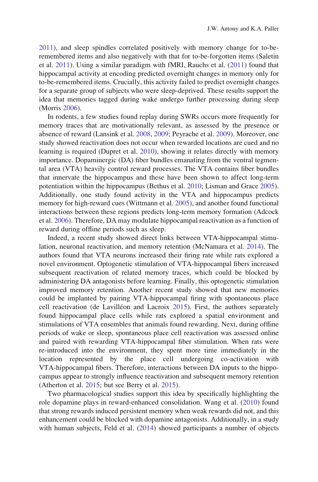[2011\)](#page-35-0), and sleep spindles correlated positively with memory change for to-beremembered items and also negatively with that for to-be-forgotten items (Saletin et al. [2011\)](#page-32-0). Using a similar paradigm with fMRI, Rauchs et al. [\(2011\)](#page-32-0) found that hippocampal activity at encoding predicted overnight changes in memory only for to-be-remembered items. Crucially, this activity failed to predict overnight changes for a separate group of subjects who were sleep-deprived. These results support the idea that memories tagged during wake undergo further processing during sleep (Morris [2006](#page-30-0)).

In rodents, a few studies found replay during SWRs occurs more frequently for memory traces that are motivationally relevant, as assessed by the presence or absence of reward (Lansink et al. [2008](#page-29-0), [2009;](#page-29-0) Peyrache et al. [2009\)](#page-31-0). Moreover, one study showed reactivation does not occur when rewarded locations are cued and no learning is required (Dupret et al. [2010\)](#page-26-0), showing it relates directly with memory importance. Dopaminergic (DA) fiber bundles emanating from the ventral tegmental area (VTA) heavily control reward processes. The VTA contains fiber bundles that innervate the hippocampus and these have been shown to affect long-term potentiation within the hippocampus (Bethus et al. [2010;](#page-24-0) Lisman and Grace [2005\)](#page-29-0). Additionally, one study found activity in the VTA and hippocampus predicts memory for high-reward cues (Wittmann et al. [2005](#page-35-0)), and another found functional interactions between these regions predicts long-term memory formation (Adcock et al. [2006\)](#page-23-0). Therefore, DA may modulate hippocampal reactivation as a function of reward during offline periods such as sleep.

Indeed, a recent study showed direct links between VTA-hippocampal stimulation, neuronal reactivation, and memory retention (McNamara et al. [2014\)](#page-30-0). The authors found that VTA neurons increased their firing rate while rats explored a novel environment. Optogenetic stimulation of VTA-hippocampal fibers increased subsequent reactivation of related memory traces, which could be blocked by administering DA antagonists before learning. Finally, this optogenetic stimulation improved memory retention. Another recent study showed that new memories could be implanted by pairing VTA-hippocampal firing with spontaneous place cell reactivation (de Lavilléon and Lacroix [2015\)](#page-26-0). First, the authors separately found hippocampal place cells while rats explored a spatial environment and stimulations of VTA ensembles that animals found rewarding. Next, during offline periods of wake or sleep, spontaneous place cell reactivation was assessed online and paired with rewarding VTA-hippocampal fiber stimulation. When rats were re-introduced into the environment, they spent more time immediately in the location represented by the place cell undergoing co-activation with VTA-hippocampal fibers. Therefore, interactions between DA inputs to the hippocampus appear to strongly influence reactivation and subsequent memory retention (Atherton et al. [2015](#page-23-0); but see Berry et al. [2015](#page-24-0)).

Two pharmacological studies support this idea by specifically highlighting the role dopamine plays in reward-enhanced consolidation. Wang et al. ([2010\)](#page-35-0) found that strong rewards induced persistent memory when weak rewards did not, and this enhancement could be blocked with dopamine antagonists. Additionally, in a study with human subjects, Feld et al. [\(2014](#page-26-0)) showed participants a number of objects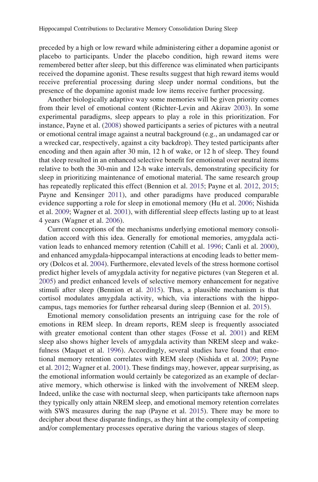preceded by a high or low reward while administering either a dopamine agonist or placebo to participants. Under the placebo condition, high reward items were remembered better after sleep, but this difference was eliminated when participants received the dopamine agonist. These results suggest that high reward items would receive preferential processing during sleep under normal conditions, but the presence of the dopamine agonist made low items receive further processing.

Another biologically adaptive way some memories will be given priority comes from their level of emotional content (Richter-Levin and Akirav [2003](#page-32-0)). In some experimental paradigms, sleep appears to play a role in this prioritization. For instance, Payne et al. [\(2008](#page-31-0)) showed participants a series of pictures with a neutral or emotional central image against a neutral background (e.g., an undamaged car or a wrecked car, respectively, against a city backdrop). They tested participants after encoding and then again after 30 min, 12 h of wake, or 12 h of sleep. They found that sleep resulted in an enhanced selective benefit for emotional over neutral items relative to both the 30-min and 12-h wake intervals, demonstrating specificity for sleep in prioritizing maintenance of emotional material. The same research group has repeatedly replicated this effect (Bennion et al. [2015](#page-24-0); Payne et al. [2012,](#page-31-0) [2015;](#page-31-0) Payne and Kensinger [2011](#page-31-0)), and other paradigms have produced comparable evidence supporting a role for sleep in emotional memory (Hu et al. [2006](#page-28-0); Nishida et al. [2009;](#page-31-0) Wagner et al. [2001](#page-34-0)), with differential sleep effects lasting up to at least 4 years (Wagner et al. [2006\)](#page-35-0).

Current conceptions of the mechanisms underlying emotional memory consolidation accord with this idea. Generally for emotional memories, amygdala activation leads to enhanced memory retention (Cahill et al. [1996](#page-24-0); Canli et al. [2000\)](#page-25-0), and enhanced amygdala-hippocampal interactions at encoding leads to better memory (Dolcos et al. [2004\)](#page-26-0). Furthermore, elevated levels of the stress hormone cortisol predict higher levels of amygdala activity for negative pictures (van Stegeren et al. [2005\)](#page-34-0) and predict enhanced levels of selective memory enhancement for negative stimuli after sleep (Bennion et al. [2015](#page-24-0)). Thus, a plausible mechanism is that cortisol modulates amygdala activity, which, via interactions with the hippocampus, tags memories for further rehearsal during sleep (Bennion et al. [2015](#page-24-0)).

Emotional memory consolidation presents an intriguing case for the role of emotions in REM sleep. In dream reports, REM sleep is frequently associated with greater emotional content than other stages (Fosse et al. [2001](#page-27-0)) and REM sleep also shows higher levels of amygdala activity than NREM sleep and wakefulness (Maquet et al. [1996\)](#page-30-0). Accordingly, several studies have found that emotional memory retention correlates with REM sleep (Nishida et al. [2009](#page-31-0); Payne et al. [2012](#page-31-0); Wagner et al. [2001\)](#page-34-0). These findings may, however, appear surprising, as the emotional information would certainly be categorized as an example of declarative memory, which otherwise is linked with the involvement of NREM sleep. Indeed, unlike the case with nocturnal sleep, when participants take afternoon naps they typically only attain NREM sleep, and emotional memory retention correlates with SWS measures during the nap (Payne et al. [2015\)](#page-31-0). There may be more to decipher about these disparate findings, as they hint at the complexity of competing and/or complementary processes operative during the various stages of sleep.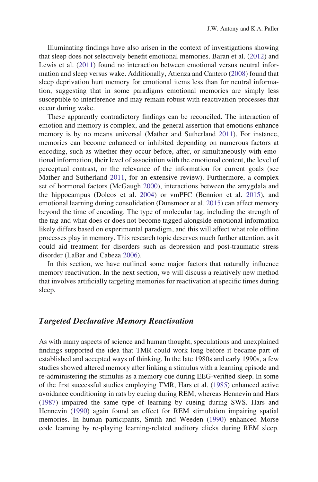Illuminating findings have also arisen in the context of investigations showing that sleep does not selectively benefit emotional memories. Baran et al. [\(2012](#page-23-0)) and Lewis et al. ([2011\)](#page-29-0) found no interaction between emotional versus neutral information and sleep versus wake. Additionally, Atienza and Cantero [\(2008](#page-23-0)) found that sleep deprivation hurt memory for emotional items less than for neutral information, suggesting that in some paradigms emotional memories are simply less susceptible to interference and may remain robust with reactivation processes that occur during wake.

These apparently contradictory findings can be reconciled. The interaction of emotion and memory is complex, and the general assertion that emotions enhance memory is by no means universal (Mather and Sutherland [2011](#page-30-0)). For instance, memories can become enhanced or inhibited depending on numerous factors at encoding, such as whether they occur before, after, or simultaneously with emotional information, their level of association with the emotional content, the level of perceptual contrast, or the relevance of the information for current goals (see Mather and Sutherland [2011](#page-30-0), for an extensive review). Furthermore, a complex set of hormonal factors (McGaugh [2000\)](#page-30-0), interactions between the amygdala and the hippocampus (Dolcos et al. [2004](#page-26-0)) or vmPFC (Bennion et al. [2015](#page-24-0)), and emotional learning during consolidation (Dunsmoor et al. [2015](#page-26-0)) can affect memory beyond the time of encoding. The type of molecular tag, including the strength of the tag and what does or does not become tagged alongside emotional information likely differs based on experimental paradigm, and this will affect what role offline processes play in memory. This research topic deserves much further attention, as it could aid treatment for disorders such as depression and post-traumatic stress disorder (LaBar and Cabeza [2006](#page-29-0)).

In this section, we have outlined some major factors that naturally influence memory reactivation. In the next section, we will discuss a relatively new method that involves artificially targeting memories for reactivation at specific times during sleep.

## Targeted Declarative Memory Reactivation

As with many aspects of science and human thought, speculations and unexplained findings supported the idea that TMR could work long before it became part of established and accepted ways of thinking. In the late 1980s and early 1990s, a few studies showed altered memory after linking a stimulus with a learning episode and re-administering the stimulus as a memory cue during EEG-verified sleep. In some of the first successful studies employing TMR, Hars et al. [\(1985](#page-28-0)) enhanced active avoidance conditioning in rats by cueing during REM, whereas Hennevin and Hars [\(1987](#page-28-0)) impaired the same type of learning by cueing during SWS. Hars and Hennevin ([1990\)](#page-27-0) again found an effect for REM stimulation impairing spatial memories. In human participants, Smith and Weeden [\(1990](#page-33-0)) enhanced Morse code learning by re-playing learning-related auditory clicks during REM sleep.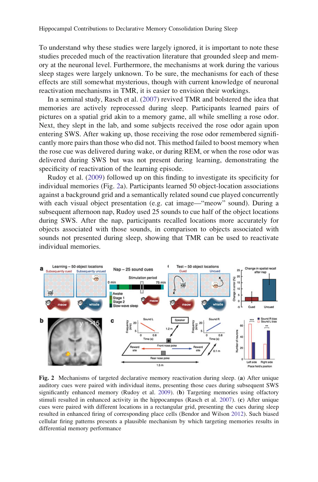<span id="page-18-0"></span>To understand why these studies were largely ignored, it is important to note these studies preceded much of the reactivation literature that grounded sleep and memory at the neuronal level. Furthermore, the mechanisms at work during the various sleep stages were largely unknown. To be sure, the mechanisms for each of these effects are still somewhat mysterious, though with current knowledge of neuronal reactivation mechanisms in TMR, it is easier to envision their workings.

In a seminal study, Rasch et al. ([2007\)](#page-32-0) revived TMR and bolstered the idea that memories are actively reprocessed during sleep. Participants learned pairs of pictures on a spatial grid akin to a memory game, all while smelling a rose odor. Next, they slept in the lab, and some subjects received the rose odor again upon entering SWS. After waking up, those receiving the rose odor remembered significantly more pairs than those who did not. This method failed to boost memory when the rose cue was delivered during wake, or during REM, or when the rose odor was delivered during SWS but was not present during learning, demonstrating the specificity of reactivation of the learning episode.

Rudoy et al. [\(2009](#page-32-0)) followed up on this finding to investigate its specificity for individual memories (Fig. 2a). Participants learned 50 object-location associations against a background grid and a semantically related sound cue played concurrently with each visual object presentation (e.g. cat image—"meow" sound). During a subsequent afternoon nap, Rudoy used 25 sounds to cue half of the object locations during SWS. After the nap, participants recalled locations more accurately for objects associated with those sounds, in comparison to objects associated with sounds not presented during sleep, showing that TMR can be used to reactivate individual memories.



Fig. 2 Mechanisms of targeted declarative memory reactivation during sleep. (a) After unique auditory cues were paired with individual items, presenting those cues during subsequent SWS significantly enhanced memory (Rudoy et al. [2009\)](#page-32-0). (b) Targeting memories using olfactory stimuli resulted in enhanced activity in the hippocampus (Rasch et al. [2007\)](#page-32-0). (c) After unique cues were paired with different locations in a rectangular grid, presenting the cues during sleep resulted in enhanced firing of corresponding place cells (Bendor and Wilson [2012\)](#page-24-0). Such biased cellular firing patterns presents a plausible mechanism by which targeting memories results in differential memory performance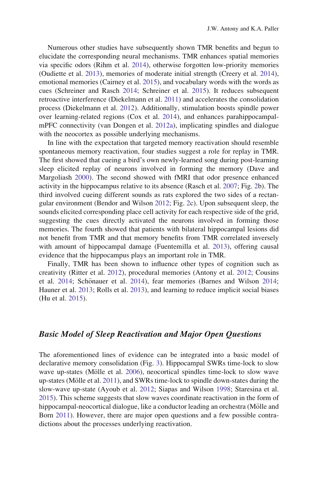Numerous other studies have subsequently shown TMR benefits and begun to elucidate the corresponding neural mechanisms. TMR enhances spatial memories via specific odors (Rihm et al. [2014](#page-32-0)), otherwise forgotten low-priority memories (Oudiette et al. [2013\)](#page-31-0), memories of moderate initial strength (Creery et al. [2014\)](#page-25-0), emotional memories (Cairney et al. [2015](#page-25-0)), and vocabulary words with the words as cues (Schreiner and Rasch [2014;](#page-33-0) Schreiner et al. [2015](#page-33-0)). It reduces subsequent retroactive interference (Diekelmann et al. [2011](#page-26-0)) and accelerates the consolidation process (Diekelmann et al. [2012](#page-26-0)). Additionally, stimulation boosts spindle power over learning-related regions (Cox et al. [2014\)](#page-25-0), and enhances parahippocampalmPFC connectivity (van Dongen et al. [2012a](#page-34-0)), implicating spindles and dialogue with the neocortex as possible underlying mechanisms.

In line with the expectation that targeted memory reactivation should resemble spontaneous memory reactivation, four studies suggest a role for replay in TMR. The first showed that cueing a bird's own newly-learned song during post-learning sleep elicited replay of neurons involved in forming the memory (Dave and Margoliash [2000](#page-25-0)). The second showed with fMRI that odor presence enhanced activity in the hippocampus relative to its absence (Rasch et al. [2007](#page-32-0); Fig. [2b](#page-18-0)). The third involved cueing different sounds as rats explored the two sides of a rectangular environment (Bendor and Wilson [2012](#page-24-0); Fig. [2c](#page-18-0)). Upon subsequent sleep, the sounds elicited corresponding place cell activity for each respective side of the grid, suggesting the cues directly activated the neurons involved in forming those memories. The fourth showed that patients with bilateral hippocampal lesions did not benefit from TMR and that memory benefits from TMR correlated inversely with amount of hippocampal damage (Fuentemilla et al. [2013](#page-27-0)), offering causal evidence that the hippocampus plays an important role in TMR.

Finally, TMR has been shown to influence other types of cognition such as creativity (Ritter et al. [2012](#page-32-0)), procedural memories (Antony et al. [2012](#page-23-0); Cousins et al. [2014;](#page-23-0) Schönauer et al. [2014](#page-33-0)), fear memories (Barnes and Wilson 2014; Hauner et al. [2013](#page-28-0); Rolls et al. [2013\)](#page-32-0), and learning to reduce implicit social biases (Hu et al. [2015\)](#page-28-0).

# Basic Model of Sleep Reactivation and Major Open Questions

The aforementioned lines of evidence can be integrated into a basic model of declarative memory consolidation (Fig. [3\)](#page-20-0). Hippocampal SWRs time-lock to slow wave up-states (Mölle et al. [2006\)](#page-30-0), neocortical spindles time-lock to slow wave up-states (Mölle et al. [2011\)](#page-30-0), and SWRs time-lock to spindle down-states during the slow-wave up-state (Ayoub et al. [2012](#page-23-0); Siapas and Wilson [1998;](#page-33-0) Staresina et al. [2015\)](#page-33-0). This scheme suggests that slow waves coordinate reactivation in the form of hippocampal-neocortical dialogue, like a conductor leading an orchestra (Mölle and Born [2011](#page-30-0)). However, there are major open questions and a few possible contradictions about the processes underlying reactivation.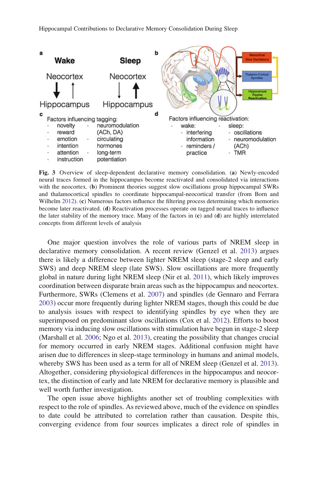<span id="page-20-0"></span>

Fig. 3 Overview of sleep-dependent declarative memory consolidation. (a) Newly-encoded neural traces formed in the hippocampus become reactivated and consolidated via interactions with the neocortex. (b) Prominent theories suggest slow oscillations group hippocampal SWRs and thalamocortical spindles to coordinate hippocampal-neocortical transfer (from Born and Wilhelm [2012\)](#page-24-0). (c) Numerous factors influence the filtering process determining which memories become later reactivated. (d) Reactivation processes operate on tagged neural traces to influence the later stability of the memory trace. Many of the factors in  $(c)$  and  $(d)$  are highly interrelated concepts from different levels of analysis

One major question involves the role of various parts of NREM sleep in declarative memory consolidation. A recent review (Genzel et al. [2013](#page-27-0)) argues there is likely a difference between lighter NREM sleep (stage-2 sleep and early SWS) and deep NREM sleep (late SWS). Slow oscillations are more frequently global in nature during light NREM sleep (Nir et al. [2011\)](#page-31-0), which likely improves coordination between disparate brain areas such as the hippocampus and neocortex. Furthermore, SWRs (Clemens et al. [2007](#page-25-0)) and spindles (de Gennaro and Ferrara [2003\)](#page-26-0) occur more frequently during lighter NREM stages, though this could be due to analysis issues with respect to identifying spindles by eye when they are superimposed on predominant slow oscillations (Cox et al. [2012](#page-25-0)). Efforts to boost memory via inducing slow oscillations with stimulation have begun in stage-2 sleep (Marshall et al. [2006](#page-30-0); Ngo et al. [2013\)](#page-30-0), creating the possibility that changes crucial for memory occurred in early NREM stages. Additional confusion might have arisen due to differences in sleep-stage terminology in humans and animal models, whereby SWS has been used as a term for all of NREM sleep (Genzel et al. [2013\)](#page-27-0). Altogether, considering physiological differences in the hippocampus and neocortex, the distinction of early and late NREM for declarative memory is plausible and well worth further investigation.

The open issue above highlights another set of troubling complexities with respect to the role of spindles. As reviewed above, much of the evidence on spindles to date could be attributed to correlation rather than causation. Despite this, converging evidence from four sources implicates a direct role of spindles in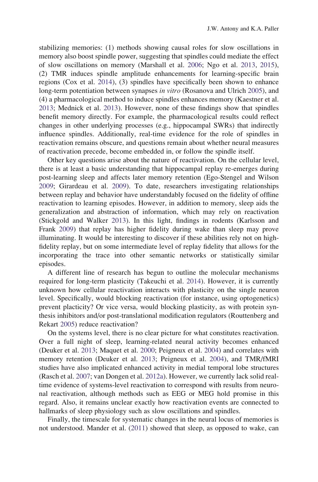stabilizing memories: (1) methods showing causal roles for slow oscillations in memory also boost spindle power, suggesting that spindles could mediate the effect of slow oscillations on memory (Marshall et al. [2006](#page-30-0); Ngo et al. [2013](#page-30-0), [2015\)](#page-31-0), (2) TMR induces spindle amplitude enhancements for learning-specific brain regions (Cox et al. [2014](#page-25-0)), (3) spindles have specifically been shown to enhance long-term potentiation between synapses *in vitro* (Rosanova and Ulrich [2005\)](#page-32-0), and (4) a pharmacological method to induce spindles enhances memory (Kaestner et al. [2013;](#page-28-0) Mednick et al. [2013](#page-30-0)). However, none of these findings show that spindles benefit memory directly. For example, the pharmacological results could reflect changes in other underlying processes (e.g., hippocampal SWRs) that indirectly influence spindles. Additionally, real-time evidence for the role of spindles in reactivation remains obscure, and questions remain about whether neural measures of reactivation precede, become embedded in, or follow the spindle itself.

Other key questions arise about the nature of reactivation. On the cellular level, there is at least a basic understanding that hippocampal replay re-emerges during post-learning sleep and affects later memory retention (Ego-Stengel and Wilson [2009;](#page-26-0) Girardeau et al. [2009\)](#page-27-0). To date, researchers investigating relationships between replay and behavior have understandably focused on the fidelity of offline reactivation to learning episodes. However, in addition to memory, sleep aids the generalization and abstraction of information, which may rely on reactivation (Stickgold and Walker [2013](#page-33-0)). In this light, findings in rodents (Karlsson and Frank [2009](#page-28-0)) that replay has higher fidelity during wake than sleep may prove illuminating. It would be interesting to discover if these abilities rely not on highfidelity replay, but on some intermediate level of replay fidelity that allows for the incorporating the trace into other semantic networks or statistically similar episodes.

A different line of research has begun to outline the molecular mechanisms required for long-term plasticity (Takeuchi et al. [2014\)](#page-34-0). However, it is currently unknown how cellular reactivation interacts with plasticity on the single neuron level. Specifically, would blocking reactivation (for instance, using optogenetics) prevent placticity? Or vice versa, would blocking plasticity, as with protein synthesis inhibitors and/or post-translational modification regulators (Routtenberg and Rekart [2005](#page-32-0)) reduce reactivation?

On the systems level, there is no clear picture for what constitutes reactivation. Over a full night of sleep, learning-related neural activity becomes enhanced (Deuker et al. [2013](#page-26-0); Maquet et al. [2000;](#page-30-0) Peigneux et al. [2004](#page-31-0)) and correlates with memory retention (Deuker et al. [2013;](#page-26-0) Peigneux et al. [2004\)](#page-31-0), and TMR/fMRI studies have also implicated enhanced activity in medial temporal lobe structures (Rasch et al. [2007;](#page-32-0) van Dongen et al. [2012a\)](#page-34-0). However, we currently lack solid realtime evidence of systems-level reactivation to correspond with results from neuronal reactivation, although methods such as EEG or MEG hold promise in this regard. Also, it remains unclear exactly how reactivation events are connected to hallmarks of sleep physiology such as slow oscillations and spindles.

Finally, the timescale for systematic changes in the neural locus of memories is not understood. Mander et al. [\(2011\)](#page-29-0) showed that sleep, as opposed to wake, can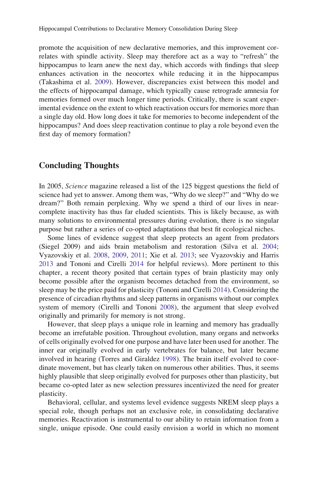promote the acquisition of new declarative memories, and this improvement correlates with spindle activity. Sleep may therefore act as a way to "refresh" the hippocampus to learn anew the next day, which accords with findings that sleep enhances activation in the neocortex while reducing it in the hippocampus (Takashima et al. [2009\)](#page-34-0). However, discrepancies exist between this model and the effects of hippocampal damage, which typically cause retrograde amnesia for memories formed over much longer time periods. Critically, there is scant experimental evidence on the extent to which reactivation occurs for memories more than a single day old. How long does it take for memories to become independent of the hippocampus? And does sleep reactivation continue to play a role beyond even the first day of memory formation?

# Concluding Thoughts

In 2005, Science magazine released a list of the 125 biggest questions the field of science had yet to answer. Among them was, "Why do we sleep?" and "Why do we dream?" Both remain perplexing. Why we spend a third of our lives in nearcomplete inactivity has thus far eluded scientists. This is likely because, as with many solutions to environmental pressures during evolution, there is no singular purpose but rather a series of co-opted adaptations that best fit ecological niches.

Some lines of evidence suggest that sleep protects an agent from predators (Siegel 2009) and aids brain metabolism and restoration (Silva et al. [2004;](#page-33-0) Vyazovskiy et al. [2008,](#page-34-0) [2009,](#page-34-0) [2011;](#page-34-0) Xie et al. [2013;](#page-35-0) see Vyazovskiy and Harris [2013](#page-34-0) and Tononi and Cirelli [2014](#page-34-0) for helpful reviews). More pertinent to this chapter, a recent theory posited that certain types of brain plasticity may only become possible after the organism becomes detached from the environment, so sleep may be the price paid for plasticity (Tononi and Cirelli [2014](#page-34-0)). Considering the presence of circadian rhythms and sleep patterns in organisms without our complex system of memory (Cirelli and Tononi [2008](#page-25-0)), the argument that sleep evolved originally and primarily for memory is not strong.

However, that sleep plays a unique role in learning and memory has gradually become an irrefutable position. Throughout evolution, many organs and networks of cells originally evolved for one purpose and have later been used for another. The inner ear originally evolved in early vertebrates for balance, but later became involved in hearing (Torres and Giraldez [1998\)](#page-34-0). The brain itself evolved to coordinate movement, but has clearly taken on numerous other abilities. Thus, it seems highly plausible that sleep originally evolved for purposes other than plasticity, but became co-opted later as new selection pressures incentivized the need for greater plasticity.

Behavioral, cellular, and systems level evidence suggests NREM sleep plays a special role, though perhaps not an exclusive role, in consolidating declarative memories. Reactivation is instrumental to our ability to retain information from a single, unique episode. One could easily envision a world in which no moment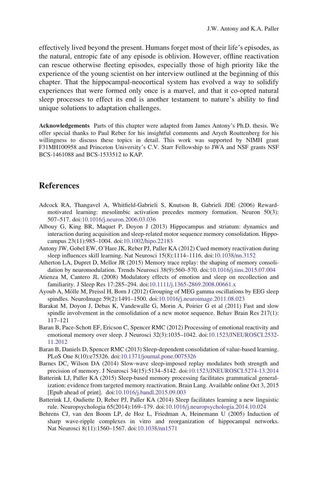<span id="page-23-0"></span>effectively lived beyond the present. Humans forget most of their life's episodes, as the natural, entropic fate of any episode is oblivion. However, offline reactivation can rescue otherwise fleeting episodes, especially those of high priority like the experience of the young scientist on her interview outlined at the beginning of this chapter. That the hippocampal-neocortical system has evolved a way to solidify experiences that were formed only once is a marvel, and that it co-opted natural sleep processes to effect its end is another testament to nature's ability to find unique solutions to adaptation challenges.

Acknowledgements Parts of this chapter were adapted from James Antony's Ph.D. thesis. We offer special thanks to Paul Reber for his insightful comments and Aryeh Routtenberg for his willingness to discuss these topics in detail. This work was supported by NIMH grant F31MH100958 and Princeton University's C.V. Starr Fellowship to JWA and NSF grants NSF BCS-1461088 and BCS-1533512 to KAP.

# References

- Adcock RA, Thangavel A, Whitfield-Gabrieli S, Knutson B, Gabrieli JDE (2006) Rewardmotivated learning: mesolimbic activation precedes memory formation. Neuron 50(3): 507–517. doi[:10.1016/j.neuron.2006.03.036](http://dx.doi.org/10.1016/j.neuron.2006.03.036)
- Albouy G, King BR, Maquet P, Doyon J (2013) Hippocampus and striatum: dynamics and interaction during acquisition and sleep-related motor sequence memory consolidation. Hippocampus 23(11):985–1004. doi:[10.1002/hipo.22183](http://dx.doi.org/10.1002/hipo.22183)
- Antony JW, Gobel EW, O'Hare JK, Reber PJ, Paller KA (2012) Cued memory reactivation during sleep influences skill learning. Nat Neurosci 15(8):1114–1116. doi[:10.1038/nn.3152](http://dx.doi.org/10.1038/nn.3152)
- Atherton LA, Dupret D, Mellor JR (2015) Memory trace replay: the shaping of memory consolidation by neuromodulation. Trends Neurosci 38(9):560–570. doi:[10.1016/j.tins.2015.07.004](http://dx.doi.org/10.1016/j.tins.2015.07.004)
- Atienza M, Cantero JL (2008) Modulatory effects of emotion and sleep on recollection and familiarity. J Sleep Res 17:285–294. doi[:10.1111/j.1365-2869.2008.00661.x](http://dx.doi.org/10.1111/j.1365-2869.2008.00661.x)
- Ayoub A, Mölle M, Preissl H, Born J (2012) Grouping of MEG gamma oscillations by EEG sleep spindles. NeuroImage 59(2):1491–1500. doi[:10.1016/j.neuroimage.2011.08.023](http://dx.doi.org/10.1016/j.neuroimage.2011.08.023)
- Barakat M, Doyon J, Debas K, Vandewalle G, Morin A, Poirier G et al (2011) Fast and slow spindle involvement in the consolidation of a new motor sequence. Behav Brain Res 217(1): 117–121
- Baran B, Pace-Schott EF, Ericson C, Spencer RMC (2012) Processing of emotional reactivity and emotional memory over sleep. J Neurosci 32(3):1035–1042. doi[:10.1523/JNEUROSCI.2532-](http://dx.doi.org/10.1523/JNEUROSCI.2532-11.2012) [11.2012](http://dx.doi.org/10.1523/JNEUROSCI.2532-11.2012)
- Baran B, Daniels D, Spencer RMC (2013) Sleep-dependent consolidation of value-based learning. PLoS One 8(10):e75326. doi:[10.1371/journal.pone.0075326](http://dx.doi.org/10.1371/journal.pone.0075326)
- Barnes DC, Wilson DA (2014) Slow-wave sleep-imposed replay modulates both strength and precision of memory. J Neurosci 34(15):5134–5142. doi:[10.1523/JNEUROSCI.5274-13.2014](http://dx.doi.org/10.1523/JNEUROSCI.5274-13.2014)
- Batterink LJ, Paller KA (2015) Sleep-based memory processing facilitates grammatical generalization: evidence from targeted memory reactivation. Brain Lang. Available online Oct 3, 2015 [Epub ahead of print]. doi:[10.1016/j.bandl.2015.09.003](http://dx.doi.org/10.1016/j.bandl.2015.09.003)
- Batterink LJ, Oudiette D, Reber PJ, Paller KA (2014) Sleep facilitates learning a new linguistic rule. Neuropsychologia 65(2014):169–179. doi:[10.1016/j.neuropsychologia.2014.10.024](http://dx.doi.org/10.1016/j.neuropsychologia.2014.10.024)
- Behrens CJ, van den Boom LP, de Hoz L, Friedman A, Heinemann U (2005) Induction of sharp wave-ripple complexes in vitro and reorganization of hippocampal networks. Nat Neurosci 8(11):1560–1567. doi:[10.1038/nn1571](http://dx.doi.org/10.1038/nn1571)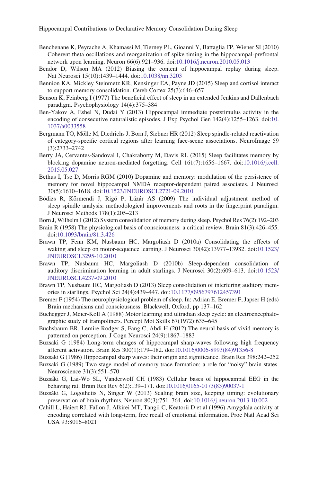- <span id="page-24-0"></span>Benchenane K, Peyrache A, Khamassi M, Tierney PL, Gioanni Y, Battaglia FP, Wiener SI (2010) Coherent theta oscillations and reorganization of spike timing in the hippocampal-prefrontal network upon learning. Neuron 66(6):921–936. doi:[10.1016/j.neuron.2010.05.013](http://dx.doi.org/10.1016/j.neuron.2010.05.013)
- Bendor D, Wilson MA (2012) Biasing the content of hippocampal replay during sleep. Nat Neurosci 15(10):1439–1444. doi[:10.1038/nn.3203](http://dx.doi.org/10.1038/nn.3203)
- Bennion KA, Mickley Steinmetz KR, Kensinger EA, Payne JD (2015) Sleep and cortisol interact to support memory consolidation. Cereb Cortex 25(3):646–657
- Benson K, Feinberg I (1977) The beneficial effect of sleep in an extended Jenkins and Dallenbach paradigm. Psychophysiology 14(4):375–384
- Ben-Yakov A, Eshel N, Dudai Y (2013) Hippocampal immediate poststimulus activity in the encoding of consecutive naturalistic episodes. J Exp Psychol Gen 142(4):1255–1263. doi:[10.](http://dx.doi.org/10.1037/a0033558) [1037/a0033558](http://dx.doi.org/10.1037/a0033558)
- Bergmann TO, Mölle M, Diedrichs J, Born J, Siebner HR (2012) Sleep spindle-related reactivation of category-specific cortical regions after learning face-scene associations. NeuroImage 59 (3):2733–2742
- Berry JA, Cervantes-Sandoval I, Chakraborty M, Davis RL (2015) Sleep facilitates memory by blocking dopamine neuron-mediated forgetting. Cell 161(7):1656–1667. doi:[10.1016/j.cell.](http://dx.doi.org/10.1016/j.cell.2015.05.027) [2015.05.027](http://dx.doi.org/10.1016/j.cell.2015.05.027)
- Bethus I, Tse D, Morris RGM (2010) Dopamine and memory: modulation of the persistence of memory for novel hippocampal NMDA receptor-dependent paired associates. J Neurosci 30(5):1610–1618. doi[:10.1523/JNEUROSCI.2721-09.2010](http://dx.doi.org/10.1523/JNEUROSCI.2721-09.2010)
- Bódizs R, Körmendi J, Rigó P, Lázár AS (2009) The individual adjustment method of sleep spindle analysis: methodological improvements and roots in the fingerprint paradigm. J Neurosci Methods 178(1):205–213
- Born J, Wilhelm I (2012) System consolidation of memory during sleep. Psychol Res 76(2):192–203
- Brain R (1958) The physiological basis of consciousness: a critical review. Brain 81(3):426–455. doi[:10.1093/brain/81.3.426](http://dx.doi.org/10.1093/brain/81.3.426)
- Brawn TP, Fenn KM, Nusbaum HC, Margoliash D (2010a) Consolidating the effects of waking and sleep on motor-sequence learning. J Neurosci 30(42):13977–13982. doi:[10.1523/](http://dx.doi.org/10.1523/JNEUROSCI.3295-10.2010) [JNEUROSCI.3295-10.2010](http://dx.doi.org/10.1523/JNEUROSCI.3295-10.2010)
- Brawn TP, Nusbaum HC, Margoliash D (2010b) Sleep-dependent consolidation of auditory discrimination learning in adult starlings. J Neurosci 30(2):609–613. doi:[10.1523/](http://dx.doi.org/10.1523/JNEUROSCI.4237-09.2010) [JNEUROSCI.4237-09.2010](http://dx.doi.org/10.1523/JNEUROSCI.4237-09.2010)
- Brawn TP, Nusbaum HC, Margoliash D (2013) Sleep consolidation of interfering auditory memories in starlings. Psychol Sci 24(4):439–447. doi:[10.1177/0956797612457391](http://dx.doi.org/10.1177/0956797612457391)
- Bremer F (1954) The neurophysiological problem of sleep. In: Adrian E, Bremer F, Japser H (eds) Brain mechanisms and consciousness. Blackwell, Oxford, pp 137–162
- Buchegger J, Meier-Koll A (1988) Motor learning and ultradian sleep cycle: an electroencephalographic study of trampoliners. Percept Mot Skills 67(1972):635–645
- Buchsbaum BR, Lemire-Rodger S, Fang C, Abdi H (2012) The neural basis of vivid memory is patterned on perception. J Cogn Neurosci 24(9):1867–1883
- Buzsaki G (1984) Long-term changes of hippocampal sharp-waves following high frequency afferent activation. Brain Res 300(1):179–182. doi[:10.1016/0006-8993\(84\)91356-8](http://dx.doi.org/10.1016/0006-8993(84)91356-8)
- Buzsaki G (1986) Hippocampal sharp waves: their origin and significance. Brain Res 398:242–252
- Buzsaki G (1989) Two-stage model of memory trace formation: a role for "noisy" brain states. Neuroscience 31(3):551–570
- Buzsáki G, Lai-Wo SL, Vanderwolf CH (1983) Cellular bases of hippocampal EEG in the behaving rat. Brain Res Rev 6(2):139–171. doi[:10.1016/0165-0173\(83\)90037-1](http://dx.doi.org/10.1016/0165-0173(83)90037-1)
- Buzsáki G, Logothetis N, Singer W (2013) Scaling brain size, keeping timing: evolutionary preservation of brain rhythms. Neuron 80(3):751–764. doi:[10.1016/j.neuron.2013.10.002](http://dx.doi.org/10.1016/j.neuron.2013.10.002)
- Cahill L, Haiert RJ, Fallon J, Alkirei MT, Tangii C, Keatorii D et al (1996) Amygdala activity at encoding correlated with long-term, free recall of emotional information. Proc Natl Acad Sci USA 93:8016–8021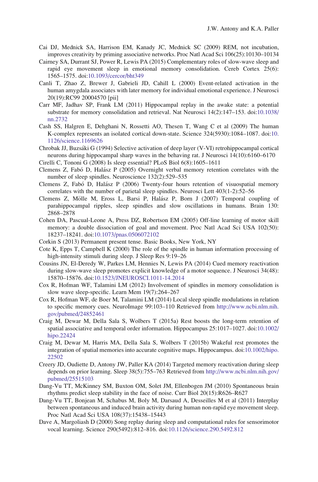- <span id="page-25-0"></span>Cai DJ, Mednick SA, Harrison EM, Kanady JC, Mednick SC (2009) REM, not incubation, improves creativity by priming associative networks. Proc Natl Acad Sci 106(25):10130–10134
- Cairney SA, Durrant SJ, Power R, Lewis PA (2015) Complementary roles of slow-wave sleep and rapid eye movement sleep in emotional memory consolidation. Cereb Cortex 25(6): 1565–1575. doi:[10.1093/cercor/bht349](http://dx.doi.org/10.1093/cercor/bht349)
- Canli T, Zhao Z, Brewer J, Gabrieli JD, Cahill L (2000) Event-related activation in the human amygdala associates with later memory for individual emotional experience. J Neurosci 20(19):RC99 20004570 [pii]
- Carr MF, Jadhav SP, Frank LM (2011) Hippocampal replay in the awake state: a potential substrate for memory consolidation and retrieval. Nat Neurosci 14(2):147–153. doi:[10.1038/](http://dx.doi.org/10.1038/nn.2732) [nn.2732](http://dx.doi.org/10.1038/nn.2732)
- Cash SS, Halgren E, Dehghani N, Rossetti AO, Thesen T, Wang C et al (2009) The human K-complex represents an isolated cortical down-state. Science 324(5930):1084–1087. doi:[10.](http://dx.doi.org/10.1126/science.1169626) [1126/science.1169626](http://dx.doi.org/10.1126/science.1169626)
- Chrobak JJ, Buzsa´ki G (1994) Selective activation of deep layer (V-VI) retrohippocampal cortical neurons during hippocampal sharp waves in the behaving rat. J Neurosci 14(10):6160–6170
- Cirelli C, Tononi G (2008) Is sleep essential? PLoS Biol 6(8):1605–1611
- Clemens Z, Fabó D, Halász P (2005) Overnight verbal memory retention correlates with the number of sleep spindles. Neuroscience 132(2):529–535
- Clemens Z, Fabó D, Halász P (2006) Twenty-four hours retention of visuospatial memory correlates with the number of parietal sleep spindles. Neurosci Lett 403(1-2):52–56
- Clemens Z, Mölle M, Eross L, Barsi P, Halász P, Born J (2007) Temporal coupling of parahippocampal ripples, sleep spindles and slow oscillations in humans. Brain 130: 2868–2878
- Cohen DA, Pascual-Leone A, Press DZ, Robertson EM (2005) Off-line learning of motor skill memory: a double dissociation of goal and movement. Proc Natl Acad Sci USA 102(50): 18237–18241. doi[:10.1073/pnas.0506072102](http://dx.doi.org/10.1073/pnas.0506072102)
- Corkin S (2013) Permanent present tense. Basic Books, New York, NY
- Cote K, Epps T, Campbell K (2000) The role of the spindle in human information processing of high-intensity stimuli during sleep. J Sleep Res 9:19–26
- Cousins JN, El-Deredy W, Parkes LM, Hennies N, Lewis PA (2014) Cued memory reactivation during slow-wave sleep promotes explicit knowledge of a motor sequence. J Neurosci 34(48): 15870–15876. doi[:10.1523/JNEUROSCI.1011-14.2014](http://dx.doi.org/10.1523/JNEUROSCI.1011-14.2014)
- Cox R, Hofman WF, Talamini LM (2012) Involvement of spindles in memory consolidation is slow wave sleep-specific. Learn Mem 19(7):264–267
- Cox R, Hofman WF, de Boer M, Talamini LM (2014) Local sleep spindle modulations in relation to specific memory cues. NeuroImage 99:103–110 Retrieved from [http://www.ncbi.nlm.nih.](http://www.ncbi.nlm.nih.gov/pubmed/24852461) [gov/pubmed/24852461](http://www.ncbi.nlm.nih.gov/pubmed/24852461)
- Craig M, Dewar M, Della Sala S, Wolbers T (2015a) Rest boosts the long-term retention of spatial associative and temporal order information. Hippocampus 25:1017–1027. doi:[10.1002/](http://dx.doi.org/10.1002/hipo.22424) [hipo.22424](http://dx.doi.org/10.1002/hipo.22424)
- Craig M, Dewar M, Harris MA, Della Sala S, Wolbers T (2015b) Wakeful rest promotes the integration of spatial memories into accurate cognitive maps. Hippocampus. doi[:10.1002/hipo.](http://dx.doi.org/10.1002/hipo.22502) [22502](http://dx.doi.org/10.1002/hipo.22502)
- Creery JD, Oudiette D, Antony JW, Paller KA (2014) Targeted memory reactivation during sleep depends on prior learning. Sleep 38(5):755–763 Retrieved from [http://www.ncbi.nlm.nih.gov/](http://www.ncbi.nlm.nih.gov/pubmed/25515103) [pubmed/25515103](http://www.ncbi.nlm.nih.gov/pubmed/25515103)
- Dang-Vu TT, McKinney SM, Buxton OM, Solet JM, Ellenbogen JM (2010) Spontaneous brain rhythms predict sleep stability in the face of noise. Curr Biol 20(15):R626–R627
- Dang-Vu TT, Bonjean M, Schabus M, Boly M, Darsaud A, Desseilles M et al (2011) Interplay between spontaneous and induced brain activity during human non-rapid eye movement sleep. Proc Natl Acad Sci USA 108(37):15438–15443
- Dave A, Margoliash D (2000) Song replay during sleep and computational rules for sensorimotor vocal learning. Science 290(5492):812–816. doi:[10.1126/science.290.5492.812](http://dx.doi.org/10.1126/science.290.5492.812)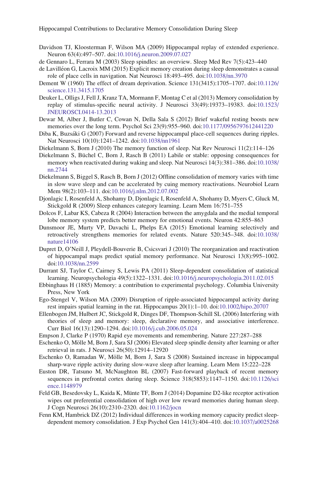- <span id="page-26-0"></span>Davidson TJ, Kloosterman F, Wilson MA (2009) Hippocampal replay of extended experience. Neuron 63(4):497–507. doi:[10.1016/j.neuron.2009.07.027](http://dx.doi.org/10.1016/j.neuron.2009.07.027)
- de Gennaro L, Ferrara M (2003) Sleep spindles: an overview. Sleep Med Rev 7(5):423–440
- de Lavilléon G, Lacroix MM (2015) Explicit memory creation during sleep demonstrates a causal role of place cells in navigation. Nat Neurosci 18:493–495. doi[:10.1038/nn.3970](http://dx.doi.org/10.1038/nn.3970)
- Dement W (1960) The effect of dream deprivation. Science 131(3415):1705–1707. doi:[10.1126/](http://dx.doi.org/10.1126/science.131.3415.1705) [science.131.3415.1705](http://dx.doi.org/10.1126/science.131.3415.1705)
- Deuker L, Olligs J, Fell J, Kranz TA, Mormann F, Montag C et al (2013) Memory consolidation by replay of stimulus-specific neural activity. J Neurosci 33(49):19373–19383. doi:[10.1523/](http://dx.doi.org/10.1523/JNEUROSCI.0414-13.2013) [JNEUROSCI.0414-13.2013](http://dx.doi.org/10.1523/JNEUROSCI.0414-13.2013)
- Dewar M, Alber J, Butler C, Cowan N, Della Sala S (2012) Brief wakeful resting boosts new memories over the long term. Psychol Sci 23(9):955–960. doi[:10.1177/0956797612441220](http://dx.doi.org/10.1177/0956797612441220)
- Diba K, Buzsáki G (2007) Forward and reverse hippocampal place-cell sequences during ripples. Nat Neurosci 10(10):1241–1242. doi[:10.1038/nn1961](http://dx.doi.org/10.1038/nn1961)
- Diekelmann S, Born J (2010) The memory function of sleep. Nat Rev Neurosci 11(2):114–126
- Diekelmann S, Büchel C, Born J, Rasch B (2011) Labile or stable: opposing consequences for memory when reactivated during waking and sleep. Nat Neurosci 14(3):381–386. doi:[10.1038/](http://dx.doi.org/10.1038/nn.2744) [nn.2744](http://dx.doi.org/10.1038/nn.2744)
- Diekelmann S, Biggel S, Rasch B, Born J (2012) Offline consolidation of memory varies with time in slow wave sleep and can be accelerated by cuing memory reactivations. Neurobiol Learn Mem 98(2):103–111. doi[:10.1016/j.nlm.2012.07.002](http://dx.doi.org/10.1016/j.nlm.2012.07.002)
- Djonlagic I, Rosenfeld A, Shohamy D, Djonlagic I, Rosenfeld A, Shohamy D, Myers C, Gluck M, Stickgold R (2009) Sleep enhances category learning. Learn Mem 16:751–755
- Dolcos F, Labar KS, Cabeza R (2004) Interaction between the amygdala and the medial temporal lobe memory system predicts better memory for emotional events. Neuron 42:855–863
- Dunsmoor JE, Murty VP, Davachi L, Phelps EA (2015) Emotional learning selectively and retroactively strengthens memories for related events. Nature 520:345–348. doi:[10.1038/](http://dx.doi.org/10.1038/nature14106) [nature14106](http://dx.doi.org/10.1038/nature14106)
- Dupret D, O'Neill J, Pleydell-Bouverie B, Csicsvari J (2010) The reorganization and reactivation of hippocampal maps predict spatial memory performance. Nat Neurosci 13(8):995–1002. doi[:10.1038/nn.2599](http://dx.doi.org/10.1038/nn.2599)
- Durrant SJ, Taylor C, Cairney S, Lewis PA (2011) Sleep-dependent consolidation of statistical learning. Neuropsychologia 49(5):1322–1331. doi[:10.1016/j.neuropsychologia.2011.02.015](http://dx.doi.org/10.1016/j.neuropsychologia.2011.02.015)
- Ebbinghaus H (1885) Memory: a contribution to experimental psychology. Columbia University Press, New York
- Ego-Stengel V, Wilson MA (2009) Disruption of ripple-associated hippocampal activity during rest impairs spatial learning in the rat. Hippocampus 20(1):1–10. doi[:10.1002/hipo.20707](http://dx.doi.org/10.1002/hipo.20707)
- Ellenbogen JM, Hulbert JC, Stickgold R, Dinges DF, Thompson-Schill SL (2006) Interfering with theories of sleep and memory: sleep, declarative memory, and associative interference. Curr Biol 16(13):1290–1294. doi:[10.1016/j.cub.2006.05.024](http://dx.doi.org/10.1016/j.cub.2006.05.024)
- Empson J, Clarke P (1970) Rapid eye movements and remembering. Nature 227:287–288
- Eschenko O, Mölle M, Born J, Sara SJ (2006) Elevated sleep spindle density after learning or after retrieval in rats. J Neurosci 26(50):12914–12920
- Eschenko O, Ramadan W, Mölle M, Born J, Sara S (2008) Sustained increase in hippocampal sharp-wave ripple activity during slow-wave sleep after learning. Learn Mem 15:222–228
- Euston DR, Tatsuno M, McNaughton BL (2007) Fast-forward playback of recent memory sequences in prefrontal cortex during sleep. Science 318(5853):1147–1150. doi[:10.1126/sci](http://dx.doi.org/10.1126/science.1148979) [ence.1148979](http://dx.doi.org/10.1126/science.1148979)
- Feld GB, Besedovsky L, Kaida K, Münte TF, Born J (2014) Dopamine D2-like receptor activation wipes out preferential consolidation of high over low reward memories during human sleep. J Cogn Neurosci 26(10):2310–2320. doi:[10.1162/jocn](http://dx.doi.org/10.1162/jocn)
- Fenn KM, Hambrick DZ (2012) Individual differences in working memory capacity predict sleepdependent memory consolidation. J Exp Psychol Gen 141(3):404–410. doi[:10.1037/a0025268](http://dx.doi.org/10.1037/a0025268)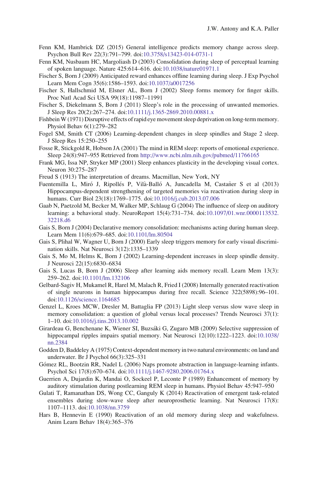- <span id="page-27-0"></span>Fenn KM, Hambrick DZ (2015) General intelligence predicts memory change across sleep. Psychon Bull Rev 22(3):791–799. doi:[10.3758/s13423-014-0731-1](http://dx.doi.org/10.3758/s13423-014-0731-1)
- Fenn KM, Nusbaum HC, Margoliash D (2003) Consolidation during sleep of perceptual learning of spoken language. Nature 425:614–616. doi:[10.1038/nature01971.1](http://dx.doi.org/10.1038/nature01971.1)
- Fischer S, Born J (2009) Anticipated reward enhances offline learning during sleep. J Exp Psychol Learn Mem Cogn 35(6):1586–1593. doi:[10.1037/a0017256](http://dx.doi.org/10.1037/a0017256)
- Fischer S, Hallschmid M, Elsner AL, Born J (2002) Sleep forms memory for finger skills. Proc Natl Acad Sci USA 99(18):11987–11991
- Fischer S, Diekelmann S, Born J (2011) Sleep's role in the processing of unwanted memories. J Sleep Res 20(2):267–274. doi:[10.1111/j.1365-2869.2010.00881.x](http://dx.doi.org/10.1111/j.1365-2869.2010.00881.x)
- FishbeinW (1971) Disruptive effects of rapid eye movement sleep deprivation on long-term memory. Physiol Behav 6(1):279–282
- Fogel SM, Smith CT (2006) Learning-dependent changes in sleep spindles and Stage 2 sleep. J Sleep Res 15:250–255
- Fosse R, Stickgold R, Hobson JA (2001) The mind in REM sleep: reports of emotional experience. Sleep 24(8):947–955 Retrieved from <http://www.ncbi.nlm.nih.gov/pubmed/11766165>
- Frank MG, Issa NP, Stryker MP (2001) Sleep enhances plasticity in the developing visual cortex. Neuron 30:275–287
- Freud S (1913) The interpretation of dreams. Macmillan, New York, NY
- Fuentemilla L, Miró J, Ripollés P, Vilà-Balló A, Juncadella M, Castañer S et al (2013) Hippocampus-dependent strengthening of targeted memories via reactivation during sleep in humans. Curr Biol 23(18):1769–1775. doi[:10.1016/j.cub.2013.07.006](http://dx.doi.org/10.1016/j.cub.2013.07.006)
- Gaab N, Paetzold M, Becker M, Walker MP, Schlaug G (2004) The influence of sleep on auditory learning: a behavioral study. NeuroReport 15(4):731–734. doi[:10.1097/01.wnr.0000113532.](http://dx.doi.org/10.1097/01.wnr.0000113532.32218.d6) [32218.d6](http://dx.doi.org/10.1097/01.wnr.0000113532.32218.d6)
- Gais S, Born J (2004) Declarative memory consolidation: mechanisms acting during human sleep. Learn Mem 11(6):679–685. doi[:10.1101/lm.80504](http://dx.doi.org/10.1101/lm.80504)
- Gais S, Plihal W, Wagner U, Born J (2000) Early sleep triggers memory for early visual discrimination skills. Nat Neurosci 3(12):1335–1339
- Gais S, Mo M, Helms K, Born J (2002) Learning-dependent increases in sleep spindle density. J Neurosci 22(15):6830–6834
- Gais S, Lucas B, Born J (2006) Sleep after learning aids memory recall. Learn Mem 13(3): 259–262. doi[:10.1101/lm.132106](http://dx.doi.org/10.1101/lm.132106)
- Gelbard-Sagiv H, Mukamel R, Harel M, Malach R, Fried I (2008) Internally generated reactivation of single neurons in human hippocampus during free recall. Science 322(5898):96–101. doi[:10.1126/science.1164685](http://dx.doi.org/10.1126/science.1164685)
- Genzel L, Kroes MCW, Dresler M, Battaglia FP (2013) Light sleep versus slow wave sleep in memory consolidation: a question of global versus local processes? Trends Neurosci 37(1): 1–10. doi[:10.1016/j.tins.2013.10.002](http://dx.doi.org/10.1016/j.tins.2013.10.002)
- Girardeau G, Benchenane K, Wiener SI, Buzsáki G, Zugaro MB (2009) Selective suppression of hippocampal ripples impairs spatial memory. Nat Neurosci 12(10):1222–1223. doi:[10.1038/](http://dx.doi.org/10.1038/nn.2384) [nn.2384](http://dx.doi.org/10.1038/nn.2384)
- Godden D, Baddeley A (1975) Context-dependent memory in two natural environments: on land and underwater. Br J Psychol 66(3):325–331
- Gómez RL, Bootzin RR, Nadel L (2006) Naps promote abstraction in language-learning infants. Psychol Sci 17(8):670–674. doi[:10.1111/j.1467-9280.2006.01764.x](http://dx.doi.org/10.1111/j.1467-9280.2006.01764.x)
- Guerrien A, Dujardin K, Mandai O, Sockeel P, Leconte P (1989) Enhancement of memory by auditory stimulation during postlearning REM sleep in humans. Physiol Behav 45:947–950
- Gulati T, Ramanathan DS, Wong CC, Ganguly K (2014) Reactivation of emergent task-related ensembles during slow-wave sleep after neuroprosthetic learning. Nat Neurosci 17(8): 1107–1113. doi:[10.1038/nn.3759](http://dx.doi.org/10.1038/nn.3759)
- Hars B, Hennevin E (1990) Reactivation of an old memory during sleep and wakefulness. Anim Learn Behav 18(4):365–376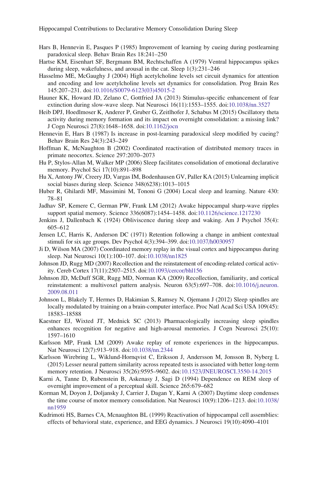- <span id="page-28-0"></span>Hars B, Hennevin E, Pasques P (1985) Improvement of learning by cueing during postlearning paradoxical sleep. Behav Brain Res 18:241–250
- Hartse KM, Eisenhart SF, Bergmann BM, Rechtschaffen A (1979) Ventral hippocampus spikes during sleep, wakefulness, and arousal in the cat. Sleep 1(3):231–246
- Hasselmo ME, McGaughy J (2004) High acetylcholine levels set circuit dynamics for attention and encoding and low acetylcholine levels set dynamics for consolidation. Prog Brain Res 145:207–231. doi[:10.1016/S0079-6123\(03\)45015-2](http://dx.doi.org/10.1016/S0079-6123(03)45015-2)
- Hauner KK, Howard JD, Zelano C, Gottfried JA (2013) Stimulus-specific enhancement of fear extinction during slow-wave sleep. Nat Neurosci 16(11):1553–1555. doi[:10.1038/nn.3527](http://dx.doi.org/10.1038/nn.3527)
- Heib DPJ, Hoedlmoser K, Anderer P, Gruber G, Zeitlhofer J, Schabus M (2015) Oscillatory theta activity during memory formation and its impact on overnight consolidation: a missing link? J Cogn Neurosci 27(8):1648–1658. doi:[10.1162/jocn](http://dx.doi.org/10.1162/jocn)
- Hennevin E, Hars B (1987) Is increase in post-learning paradoxical sleep modified by cueing? Behav Brain Res 24(3):243–249
- Hoffman K, McNaughton B (2002) Coordinated reactivation of distributed memory traces in primate neocortex. Science 297:2070–2073
- Hu P, Stylos-Allan M, Walker MP (2006) Sleep facilitates consolidation of emotional declarative memory. Psychol Sci 17(10):891–898
- Hu X, Antony JW, Creery JD, Vargas IM, Bodenhausen GV, Paller KA (2015) Unlearning implicit social biases during sleep. Science 348(6238):1013–1015
- Huber R, Ghilardi MF, Massimini M, Tononi G (2004) Local sleep and learning. Nature 430: 78–81
- Jadhav SP, Kemere C, German PW, Frank LM (2012) Awake hippocampal sharp-wave ripples support spatial memory. Science 336(6087):1454–1458. doi[:10.1126/science.1217230](http://dx.doi.org/10.1126/science.1217230)
- Jenkins J, Dallenbach K (1924) Obliviscence during sleep and waking. Am J Psychol 35(4): 605–612
- Jensen LC, Harris K, Anderson DC (1971) Retention following a change in ambient contextual stimuli for six age groups. Dev Psychol 4(3):394–399. doi[:10.1037/h0030957](http://dx.doi.org/10.1037/h0030957)
- Ji D, Wilson MA (2007) Coordinated memory replay in the visual cortex and hippocampus during sleep. Nat Neurosci 10(1):100–107. doi[:10.1038/nn1825](http://dx.doi.org/10.1038/nn1825)
- Johnson JD, Rugg MD (2007) Recollection and the reinstatement of encoding-related cortical activity. Cereb Cortex 17(11):2507–2515. doi[:10.1093/cercor/bhl156](http://dx.doi.org/10.1093/cercor/bhl156)
- Johnson JD, McDuff SGR, Rugg MD, Norman KA (2009) Recollection, familiarity, and cortical reinstatement: a multivoxel pattern analysis. Neuron 63(5):697–708. doi[:10.1016/j.neuron.](http://dx.doi.org/10.1016/j.neuron.2009.08.011) [2009.08.011](http://dx.doi.org/10.1016/j.neuron.2009.08.011)
- Johnson L, Blakely T, Hermes D, Hakimian S, Ramsey N, Ojemann J (2012) Sleep spindles are locally modulated by training on a brain-computer interface. Proc Natl Acad Sci USA 109(45): 18583–18588
- Kaestner EJ, Wixted JT, Mednick SC (2013) Pharmacologically increasing sleep spindles enhances recognition for negative and high-arousal memories. J Cogn Neurosci 25(10): 1597–1610
- Karlsson MP, Frank LM (2009) Awake replay of remote experiences in the hippocampus. Nat Neurosci 12(7):913–918. doi:[10.1038/nn.2344](http://dx.doi.org/10.1038/nn.2344)
- Karlsson Wirebring L, Wiklund-Hornqvist C, Eriksson J, Andersson M, Jonsson B, Nyberg L (2015) Lesser neural pattern similarity across repeated tests is associated with better long-term memory retention. J Neurosci 35(26):9595–9602. doi:[10.1523/JNEUROSCI.3550-14.2015](http://dx.doi.org/10.1523/JNEUROSCI.3550-14.2015)
- Karni A, Tanne D, Rubenstein B, Askenasy J, Sagi D (1994) Dependence on REM sleep of overnight improvement of a perceptual skill. Science 265:679–682
- Korman M, Doyon J, Doljansky J, Carrier J, Dagan Y, Karni A (2007) Daytime sleep condenses the time course of motor memory consolidation. Nat Neurosci 10(9):1206–1213. doi:[10.1038/](http://dx.doi.org/10.1038/nn1959) [nn1959](http://dx.doi.org/10.1038/nn1959)
- Kudrimoti HS, Barnes CA, Mcnaughton BL (1999) Reactivation of hippocampal cell assemblies: effects of behavioral state, experience, and EEG dynamics. J Neurosci 19(10):4090–4101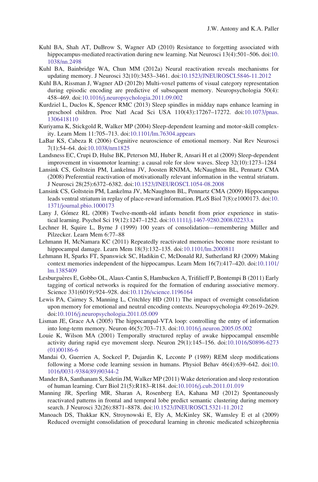- <span id="page-29-0"></span>Kuhl BA, Shah AT, DuBrow S, Wagner AD (2010) Resistance to forgetting associated with hippocampus-mediated reactivation during new learning. Nat Neurosci 13(4):501–506. doi:[10.](http://dx.doi.org/10.1038/nn.2498) [1038/nn.2498](http://dx.doi.org/10.1038/nn.2498)
- Kuhl BA, Bainbridge WA, Chun MM (2012a) Neural reactivation reveals mechanisms for updating memory. J Neurosci 32(10):3453–3461. doi[:10.1523/JNEUROSCI.5846-11.2012](http://dx.doi.org/10.1523/JNEUROSCI.5846-11.2012)
- Kuhl BA, Rissman J, Wagner AD (2012b) Multi-voxel patterns of visual category representation during episodic encoding are predictive of subsequent memory. Neuropsychologia 50(4): 458–469. doi[:10.1016/j.neuropsychologia.2011.09.002](http://dx.doi.org/10.1016/j.neuropsychologia.2011.09.002)
- Kurdziel L, Duclos K, Spencer RMC (2013) Sleep spindles in midday naps enhance learning in preschool children. Proc Natl Acad Sci USA 110(43):17267–17272. doi:[10.1073/pnas.](http://dx.doi.org/10.1073/pnas.1306418110) [1306418110](http://dx.doi.org/10.1073/pnas.1306418110)
- Kuriyama K, Stickgold R, Walker MP (2004) Sleep-dependent learning and motor-skill complexity. Learn Mem 11:705–713. doi[:10.1101/lm.76304.appears](http://dx.doi.org/10.1101/lm.76304.appears)
- LaBar KS, Cabeza R (2006) Cognitive neuroscience of emotional memory. Nat Rev Neurosci 7(1):54–64. doi[:10.1038/nrn1825](http://dx.doi.org/10.1038/nrn1825)
- Landsness EC, Crupi D, Hulse BK, Peterson MJ, Huber R, Ansari H et al (2009) Sleep-dependent improvement in visuomotor learning: a causal role for slow waves. Sleep 32(10):1273–1284
- Lansink CS, Goltstein PM, Lankelma JV, Joosten RNJMA, McNaughton BL, Pennartz CMA (2008) Preferential reactivation of motivationally relevant information in the ventral striatum. J Neurosci 28(25):6372–6382. doi[:10.1523/JNEUROSCI.1054-08.2008](http://dx.doi.org/10.1523/JNEUROSCI.1054-08.2008)
- Lansink CS, Goltstein PM, Lankelma JV, McNaughton BL, Pennartz CMA (2009) Hippocampus leads ventral striatum in replay of place-reward information. PLoS Biol 7(8):e1000173. doi:[10.](http://dx.doi.org/10.1371/journal.pbio.1000173) [1371/journal.pbio.1000173](http://dx.doi.org/10.1371/journal.pbio.1000173)
- Lany J, Gómez RL (2008) Twelve-month-old infants benefit from prior experience in statistical learning. Psychol Sci 19(12):1247–1252. doi[:10.1111/j.1467-9280.2008.02233.x](http://dx.doi.org/10.1111/j.1467-9280.2008.02233.x)
- Lechner H, Squire L, Byrne J (1999) 100 years of consolidation—remembering Müller and Pilzecker. Learn Mem 6:77–88
- Lehmann H, McNamara KC (2011) Repeatedly reactivated memories become more resistant to hippocampal damage. Learn Mem 18(3):132–135. doi:[10.1101/lm.2000811](http://dx.doi.org/10.1101/lm.2000811)
- Lehmann H, Sparks FT, Spanswick SC, Hadikin C, McDonald RJ, Sutherland RJ (2009) Making context memories independent of the hippocampus. Learn Mem 16(7):417–420. doi:[10.1101/](http://dx.doi.org/10.1101/lm.1385409) [lm.1385409](http://dx.doi.org/10.1101/lm.1385409)
- Lesburguères E, Gobbo OL, Alaux-Cantin S, Hambucken A, Trifilieff P, Bontempi B (2011) Early tagging of cortical networks is required for the formation of enduring associative memory. Science 331(6019):924–928. doi:[10.1126/science.1196164](http://dx.doi.org/10.1126/science.1196164)
- Lewis PA, Cairney S, Manning L, Critchley HD (2011) The impact of overnight consolidation upon memory for emotional and neutral encoding contexts. Neuropsychologia 49:2619–2629. doi[:10.1016/j.neuropsychologia.2011.05.009](http://dx.doi.org/10.1016/j.neuropsychologia.2011.05.009)
- Lisman JE, Grace AA (2005) The hippocampal-VTA loop: controlling the entry of information into long-term memory. Neuron 46(5):703–713. doi[:10.1016/j.neuron.2005.05.002](http://dx.doi.org/10.1016/j.neuron.2005.05.002)
- Louie K, Wilson MA (2001) Temporally structured replay of awake hippocampal ensemble activity during rapid eye movement sleep. Neuron 29(1):145–156. doi[:10.1016/S0896-6273](http://dx.doi.org/10.1016/S0896-6273(01)00186-6) [\(01\)00186-6](http://dx.doi.org/10.1016/S0896-6273(01)00186-6)
- Mandai O, Guerrien A, Sockeel P, Dujardin K, Leconte P (1989) REM sleep modifications following a Morse code learning session in humans. Physiol Behav 46(4):639–642. doi:[10.](http://dx.doi.org/10.1016/0031-9384(89)90344-2) [1016/0031-9384\(89\)90344-2](http://dx.doi.org/10.1016/0031-9384(89)90344-2)
- Mander BA, Santhanam S, Saletin JM, Walker MP (2011) Wake deterioration and sleep restoration of human learning. Curr Biol 21(5):R183–R184. doi:[10.1016/j.cub.2011.01.019](http://dx.doi.org/10.1016/j.cub.2011.01.019)
- Manning JR, Sperling MR, Sharan A, Rosenberg EA, Kahana MJ (2012) Spontaneously reactivated patterns in frontal and temporal lobe predict semantic clustering during memory search. J Neurosci 32(26):8871–8878. doi[:10.1523/JNEUROSCI.5321-11.2012](http://dx.doi.org/10.1523/JNEUROSCI.5321-11.2012)
- Manoach DS, Thakkar KN, Stroynowski E, Ely A, McKinley SK, Wamsley E et al (2009) Reduced overnight consolidation of procedural learning in chronic medicated schizophrenia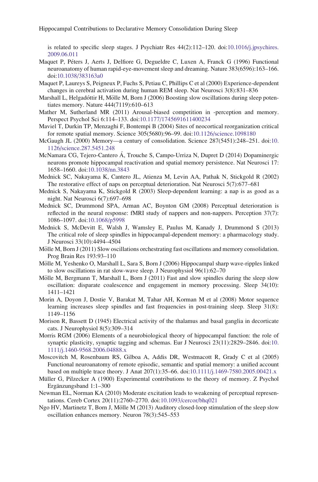<span id="page-30-0"></span>is related to specific sleep stages. J Psychiatr Res 44(2):112–120. doi:[10.1016/j.jpsychires.](http://dx.doi.org/10.1016/j.jpsychires.2009.06.011) [2009.06.011](http://dx.doi.org/10.1016/j.jpsychires.2009.06.011)

- Maquet P, Péters J, Aerts J, Delfiore G, Degueldre C, Luxen A, Franck G (1996) Functional neuroanatomy of human rapid-eye-movement sleep and dreaming. Nature 383(6596):163–166. doi[:10.1038/383163a0](http://dx.doi.org/10.1038/383163a0)
- Maquet P, Laureys S, Peigneux P, Fuchs S, Petiau C, Phillips C et al (2000) Experience-dependent changes in cerebral activation during human REM sleep. Nat Neurosci 3(8):831–836
- Marshall L, Helgadóttir H, Mölle M, Born J (2006) Boosting slow oscillations during sleep potentiates memory. Nature 444(7119):610–613
- Mather M, Sutherland MR (2011) Arousal-biased competition in -perception and memory. Perspect Psychol Sci 6:114–133. doi[:10.1177/1745691611400234](http://dx.doi.org/10.1177/1745691611400234)
- Maviel T, Durkin TP, Menzaghi F, Bontempi B (2004) Sites of neocortical reorganization critical for remote spatial memory. Science 305(5680):96–99. doi:[10.1126/science.1098180](http://dx.doi.org/10.1126/science.1098180)
- McGaugh JL (2000) Memory—a century of consolidation. Science 287(5451):248–251. doi:[10.](http://dx.doi.org/10.1126/science.287.5451.248) [1126/science.287.5451.248](http://dx.doi.org/10.1126/science.287.5451.248)
- McNamara CG, Tejero-Cantero Á, Trouche S, Campo-Urriza N, Dupret D (2014) Dopaminergic neurons promote hippocampal reactivation and spatial memory persistence. Nat Neurosci 17: 1658–1660. doi:[10.1038/nn.3843](http://dx.doi.org/10.1038/nn.3843)
- Mednick SC, Nakayama K, Cantero JL, Atienza M, Levin AA, Pathak N, Stickgold R (2002) The restorative effect of naps on perceptual deterioration. Nat Neurosci 5(7):677–681
- Mednick S, Nakayama K, Stickgold R (2003) Sleep-dependent learning: a nap is as good as a night. Nat Neurosci 6(7):697–698
- Mednick SC, Drummond SPA, Arman AC, Boynton GM (2008) Perceptual deterioration is reflected in the neural response: fMRI study of nappers and non-nappers. Perception 37(7): 1086–1097. doi:[10.1068/p5998](http://dx.doi.org/10.1068/p5998)
- Mednick S, McDevitt E, Walsh J, Wamsley E, Paulus M, Kanady J, Drummond S (2013) The critical role of sleep spindles in hippocampal-dependent memory: a pharmacology study. J Neurosci 33(10):4494–4504
- Mölle M, Born J (2011) Slow oscillations orchestrating fast oscillations and memory consolidation. Prog Brain Res 193:93–110
- Mölle M, Yeshenko O, Marshall L, Sara S, Born J (2006) Hippocampal sharp wave-ripples linked to slow oscillations in rat slow-wave sleep. J Neurophysiol 96(1):62–70
- Mölle M, Bergmann T, Marshall L, Born J  $(2011)$  Fast and slow spindles during the sleep slow oscillation: disparate coalescence and engagement in memory processing. Sleep 34(10): 1411–1421
- Morin A, Doyon J, Dostie V, Barakat M, Tahar AH, Korman M et al (2008) Motor sequence learning increases sleep spindles and fast frequencies in post-training sleep. Sleep 31(8): 1149–1156
- Morison R, Bassett D (1945) Electrical activity of the thalamus and basal ganglia in decorticate cats. J Neurophysiol 8(5):309–314
- Morris RGM (2006) Elements of a neurobiological theory of hippocampal function: the role of synaptic plasticity, synaptic tagging and schemas. Eur J Neurosci 23(11):2829–2846. doi:[10.](http://dx.doi.org/10.1111/j.1460-9568.2006.04888.x) [1111/j.1460-9568.2006.04888.x](http://dx.doi.org/10.1111/j.1460-9568.2006.04888.x)
- Moscovitch M, Rosenbaum RS, Gilboa A, Addis DR, Westmacott R, Grady C et al (2005) Functional neuroanatomy of remote episodic, semantic and spatial memory: a unified account based on multiple trace theory. J Anat 207(1):35–66. doi:[10.1111/j.1469-7580.2005.00421.x](http://dx.doi.org/10.1111/j.1469-7580.2005.00421.x)
- Müller G, Pilzecker A (1900) Experimental contributions to the theory of memory. Z Psychol Ergänzungsband 1:1-300
- Newman EL, Norman KA (2010) Moderate excitation leads to weakening of perceptual representations. Cereb Cortex 20(11):2760–2770. doi:[10.1093/cercor/bhq021](http://dx.doi.org/10.1093/cercor/bhq021)
- Ngo HV, Martinetz T, Born J, Mölle M (2013) Auditory closed-loop stimulation of the sleep slow oscillation enhances memory. Neuron 78(3):545–553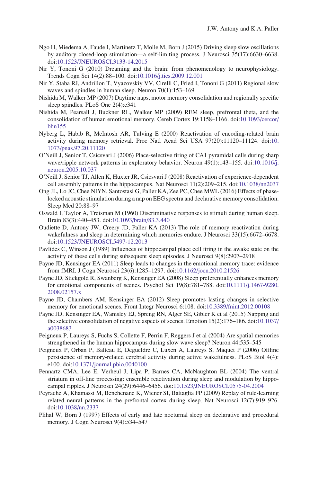- <span id="page-31-0"></span>Ngo H, Miedema A, Faude I, Martinetz T, Molle M, Born J (2015) Driving sleep slow oscillations by auditory closed-loop stimulation—a self-limiting process. J Neurosci 35(17):6630–6638. doi[:10.1523/JNEUROSCI.3133-14.2015](http://dx.doi.org/10.1523/JNEUROSCI.3133-14.2015)
- Nir Y, Tononi G (2010) Dreaming and the brain: from phenomenology to neurophysiology. Trends Cogn Sci 14(2):88–100. doi:[10.1016/j.tics.2009.12.001](http://dx.doi.org/10.1016/j.tics.2009.12.001)
- Nir Y, Staba RJ, Andrillon T, Vyazovskiy VV, Cirelli C, Fried I, Tononi G (2011) Regional slow waves and spindles in human sleep. Neuron 70(1):153–169
- Nishida M, Walker MP (2007) Daytime naps, motor memory consolidation and regionally specific sleep spindles. PLoS One 2(4):e341
- Nishida M, Pearsall J, Buckner RL, Walker MP (2009) REM sleep, prefrontal theta, and the consolidation of human emotional memory. Cereb Cortex 19:1158–1166. doi:[10.1093/cercor/](http://dx.doi.org/10.1093/cercor/bhn155) [bhn155](http://dx.doi.org/10.1093/cercor/bhn155)
- Nyberg L, Habib R, McIntosh AR, Tulving E (2000) Reactivation of encoding-related brain activity during memory retrieval. Proc Natl Acad Sci USA 97(20):11120–11124. doi:[10.](http://dx.doi.org/10.1073/pnas.97.20.11120) [1073/pnas.97.20.11120](http://dx.doi.org/10.1073/pnas.97.20.11120)
- O'Neill J, Senior T, Csicsvari J (2006) Place-selective firing of CA1 pyramidal cells during sharp wave/ripple network patterns in exploratory behavior. Neuron 49(1):143–155. doi[:10.1016/j.](http://dx.doi.org/10.1016/j.neuron.2005.10.037) [neuron.2005.10.037](http://dx.doi.org/10.1016/j.neuron.2005.10.037)
- O'Neill J, Senior TJ, Allen K, Huxter JR, Csicsvari J (2008) Reactivation of experience-dependent cell assembly patterns in the hippocampus. Nat Neurosci 11(2):209–215. doi[:10.1038/nn2037](http://dx.doi.org/10.1038/nn2037)
- Ong JL, Lo JC, Chee NIYN, Santostasi G, Paller KA, Zee PC, Chee MWL (2016) Effects of phaselocked acoustic stimulation during a nap on EEG spectra and declarative memory consolidation. Sleep Med 20:88–97
- Oswald I, Taylor A, Treisman M (1960) Discriminative responses to stimuli during human sleep. Brain 83(3):440–453. doi[:10.1093/brain/83.3.440](http://dx.doi.org/10.1093/brain/83.3.440)
- Oudiette D, Antony JW, Creery JD, Paller KA (2013) The role of memory reactivation during wakefulness and sleep in determining which memories endure. J Neurosci 33(15):6672–6678. doi[:10.1523/JNEUROSCI.5497-12.2013](http://dx.doi.org/10.1523/JNEUROSCI.5497-12.2013)
- Pavlides C, Winson J (1989) Influences of hippocampal place cell firing in the awake state on the activity of these cells during subsequent sleep episodes. J Neurosci 9(8):2907–2918
- Payne JD, Kensinger EA (2011) Sleep leads to changes in the emotional memory trace: evidence from fMRI. J Cogn Neurosci 23(6):1285–1297. doi:[10.1162/jocn.2010.21526](http://dx.doi.org/10.1162/jocn.2010.21526)
- Payne JD, Stickgold R, Swanberg K, Kensinger EA (2008) Sleep preferentially enhances memory for emotional components of scenes. Psychol Sci 19(8):781–788. doi[:10.1111/j.1467-9280.](http://dx.doi.org/10.1111/j.1467-9280.2008.02157.x) [2008.02157.x](http://dx.doi.org/10.1111/j.1467-9280.2008.02157.x)
- Payne JD, Chambers AM, Kensinger EA (2012) Sleep promotes lasting changes in selective memory for emotional scenes. Front Integr Neurosci 6:108. doi[:10.3389/fnint.2012.00108](http://dx.doi.org/10.3389/fnint.2012.00108)
- Payne JD, Kensinger EA, Wamsley EJ, Spreng RN, Alger SE, Gibler K et al (2015) Napping and the selective consolidation of negative aspects of scenes. Emotion 15(2):176–186. doi:[10.1037/](http://dx.doi.org/10.1037/a0038683) [a0038683](http://dx.doi.org/10.1037/a0038683)
- Peigneux P, Laureys S, Fuchs S, Collette F, Perrin F, Reggers J et al (2004) Are spatial memories strengthened in the human hippocampus during slow wave sleep? Neuron 44:535–545
- Peigneux P, Orban P, Balteau E, Degueldre C, Luxen A, Laureys S, Maquet P (2006) Offline persistence of memory-related cerebral activity during active wakefulness. PLoS Biol 4(4): e100. doi[:10.1371/journal.pbio.0040100](http://dx.doi.org/10.1371/journal.pbio.0040100)
- Pennartz CMA, Lee E, Verheul J, Lipa P, Barnes CA, McNaughton BL (2004) The ventral striatum in off-line processing: ensemble reactivation during sleep and modulation by hippocampal ripples. J Neurosci 24(29):6446–6456. doi:[10.1523/JNEUROSCI.0575-04.2004](http://dx.doi.org/10.1523/JNEUROSCI.0575-04.2004)
- Peyrache A, Khamassi M, Benchenane K, Wiener SI, Battaglia FP (2009) Replay of rule-learning related neural patterns in the prefrontal cortex during sleep. Nat Neurosci 12(7):919–926. doi[:10.1038/nn.2337](http://dx.doi.org/10.1038/nn.2337)
- Plihal W, Born J (1997) Effects of early and late nocturnal sleep on declarative and procedural memory. J Cogn Neurosci 9(4):534–547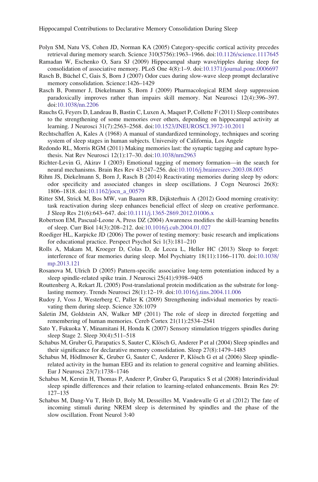- <span id="page-32-0"></span>Polyn SM, Natu VS, Cohen JD, Norman KA (2005) Category-specific cortical activity precedes retrieval during memory search. Science 310(5756):1963–1966. doi:[10.1126/science.1117645](http://dx.doi.org/10.1126/science.1117645)
- Ramadan W, Eschenko O, Sara SJ (2009) Hippocampal sharp wave/ripples during sleep for consolidation of associative memory. PLoS One 4(8):1–9. doi[:10.1371/journal.pone.0006697](http://dx.doi.org/10.1371/journal.pone.0006697)
- Rasch B, Büchel C, Gais S, Born J (2007) Odor cues during slow-wave sleep prompt declarative memory consolidation. Science:1426–1429
- Rasch B, Pommer J, Diekelmann S, Born J (2009) Pharmacological REM sleep suppression paradoxically improves rather than impairs skill memory. Nat Neurosci 12(4):396–397. doi[:10.1038/nn.2206](http://dx.doi.org/10.1038/nn.2206)
- Rauchs G, Feyers D, Landeau B, Bastin C, Luxen A, Maquet P, Collette F (2011) Sleep contributes to the strengthening of some memories over others, depending on hippocampal activity at learning. J Neurosci 31(7):2563–2568. doi[:10.1523/JNEUROSCI.3972-10.2011](http://dx.doi.org/10.1523/JNEUROSCI.3972-10.2011)
- Rechtschaffen A, Kales A (1968) A manual of standardized terminology, techniques and scoring system of sleep stages in human subjects. University of California, Los Angele
- Redondo RL, Morris RGM (2011) Making memories last: the synaptic tagging and capture hypothesis. Nat Rev Neurosci 12(1):17–30. doi:[10.1038/nrn2963](http://dx.doi.org/10.1038/nrn2963)
- Richter-Levin G, Akirav I (2003) Emotional tagging of memory formation—in the search for neural mechanisms. Brain Res Rev 43:247–256. doi:[10.1016/j.brainresrev.2003.08.005](http://dx.doi.org/10.1016/j.brainresrev.2003.08.005)
- Rihm JS, Diekelmann S, Born J, Rasch B (2014) Reactivating memories during sleep by odors: odor specificity and associated changes in sleep oscillations. J Cogn Neurosci 26(8): 1806–1818. doi:[10.1162/jocn\\_a\\_00579](http://dx.doi.org/10.1162/jocn_a_00579)
- Ritter SM, Strick M, Bos MW, van Baaren RB, Dijksterhuis A (2012) Good morning creativity: task reactivation during sleep enhances beneficial effect of sleep on creative performance. J Sleep Res 21(6):643–647. doi:[10.1111/j.1365-2869.2012.01006.x](http://dx.doi.org/10.1111/j.1365-2869.2012.01006.x)
- Robertson EM, Pascual-Leone A, Press DZ (2004) Awareness modifies the skill-learning benefits of sleep. Curr Biol 14(3):208–212. doi[:10.1016/j.cub.2004.01.027](http://dx.doi.org/10.1016/j.cub.2004.01.027)
- Roediger HL, Karpicke JD (2006) The power of testing memory: basic research and implications for educational practice. Perspect Psychol Sci 1(3):181–210
- Rolls A, Makam M, Kroeger D, Colas D, de Lecea L, Heller HC (2013) Sleep to forget: interference of fear memories during sleep. Mol Psychiatry 18(11):1166–1170. doi:[10.1038/](http://dx.doi.org/10.1038/mp.2013.121) [mp.2013.121](http://dx.doi.org/10.1038/mp.2013.121)
- Rosanova M, Ulrich D (2005) Pattern-specific associative long-term potentiation induced by a sleep spindle-related spike train. J Neurosci 25(41):9398–9405
- Routtenberg A, Rekart JL (2005) Post-translational protein modification as the substrate for longlasting memory. Trends Neurosci 28(1):12–19. doi[:10.1016/j.tins.2004.11.006](http://dx.doi.org/10.1016/j.tins.2004.11.006)
- Rudoy J, Voss J, Westerberg C, Paller K (2009) Strengthening individual memories by reactivating them during sleep. Science 326:1079
- Saletin JM, Goldstein AN, Walker MP (2011) The role of sleep in directed forgetting and remembering of human memories. Cereb Cortex 21(11):2534–2541
- Sato Y, Fukuoka Y, Minamitani H, Honda K (2007) Sensory stimulation triggers spindles during sleep Stage 2. Sleep 30(4):511–518
- Schabus M, Gruber G, Parapatics S, Sauter C, Klösch G, Anderer P et al (2004) Sleep spindles and their significance for declarative memory consolidation. Sleep 27(8):1479–1485
- Schabus M, Hödlmoser K, Gruber G, Sauter C, Anderer P, Klösch G et al (2006) Sleep spindlerelated activity in the human EEG and its relation to general cognitive and learning abilities. Eur J Neurosci 23(7):1738–1746
- Schabus M, Kerstin H, Thomas P, Anderer P, Gruber G, Parapatics S et al (2008) Interindividual sleep spindle differences and their relation to learning-related enhancements. Brain Res 29: 127–135
- Schabus M, Dang-Vu T, Heib D, Boly M, Desseilles M, Vandewalle G et al (2012) The fate of incoming stimuli during NREM sleep is determined by spindles and the phase of the slow oscillation. Front Neurol 3:40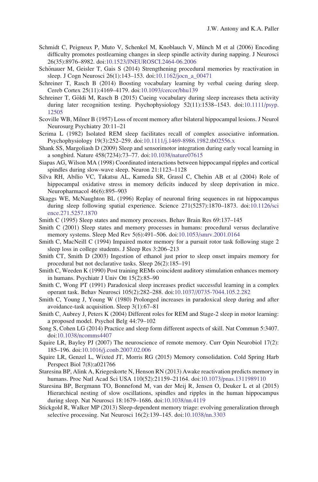- <span id="page-33-0"></span>Schmidt C, Peigneux P, Muto V, Schenkel M, Knoblauch V, Münch M et al (2006) Encoding difficulty promotes postlearning changes in sleep spindle activity during napping. J Neurosci 26(35):8976–8982. doi:[10.1523/JNEUROSCI.2464-06.2006](http://dx.doi.org/10.1523/JNEUROSCI.2464-06.2006)
- Schönauer M, Geisler T, Gais S (2014) Strengthening procedural memories by reactivation in sleep. J Cogn Neurosci 26(1):143–153. doi[:10.1162/jocn\\_a\\_00471](http://dx.doi.org/10.1162/jocn_a_00471)
- Schreiner T, Rasch B (2014) Boosting vocabulary learning by verbal cueing during sleep. Cereb Cortex 25(11):4169–4179. doi:[10.1093/cercor/bhu139](http://dx.doi.org/10.1093/cercor/bhu139)
- Schreiner T, Göldi M, Rasch B (2015) Cueing vocabulary during sleep increases theta activity during later recognition testing. Psychophysiology 52(11):1538-1543. doi[:10.1111/psyp.](http://dx.doi.org/10.1111/psyp.12505) [12505](http://dx.doi.org/10.1111/psyp.12505)
- Scoville WB, Milner B (1957) Loss of recent memory after bilateral hippocampal lesions. J Neurol Neurosurg Psychiatry 20:11–21
- Scrima L (1982) Isolated REM sleep facilitates recall of complex associative information. Psychophysiology 19(3):252–259. doi[:10.1111/j.1469-8986.1982.tb02556.x](http://dx.doi.org/10.1111/j.1469-8986.1982.tb02556.x)
- Shank SS, Margoliash D (2009) Sleep and sensorimotor integration during early vocal learning in a songbird. Nature 458(7234):73–77. doi[:10.1038/nature07615](http://dx.doi.org/10.1038/nature07615)
- Siapas AG, Wilson MA (1998) Coordinated interactions between hippocampal ripples and cortical spindles during slow-wave sleep. Neuron 21:1123–1128
- Silva RH, Abílio VC, Takatsu AL, Kameda SR, Grassl C, Chehin AB et al (2004) Role of hippocampal oxidative stress in memory deficits induced by sleep deprivation in mice. Neuropharmacol 46(6):895–903
- Skaggs WE, McNaughton BL (1996) Replay of neuronal firing sequences in rat hippocampus during sleep following spatial experience. Science 271(5257):1870–1873. doi[:10.1126/sci](http://dx.doi.org/10.1126/science.271.5257.1870) [ence.271.5257.1870](http://dx.doi.org/10.1126/science.271.5257.1870)
- Smith C (1995) Sleep states and memory processes. Behav Brain Res 69:137–145
- Smith C (2001) Sleep states and memory processes in humans: procedural versus declarative memory systems. Sleep Med Rev 5(6):491–506. doi:[10.1053/smrv.2001.0164](http://dx.doi.org/10.1053/smrv.2001.0164)
- Smith C, MacNeill C (1994) Impaired motor memory for a pursuit rotor task following stage 2 sleep loss in college students. J Sleep Res 3:206–213
- Smith CT, Smith D (2003) Ingestion of ethanol just prior to sleep onset impairs memory for procedural but not declarative tasks. Sleep 26(2):185–191
- Smith C, Weeden K (1990) Post training REMs coincident auditory stimulation enhances memory in humans. Psychiatr J Univ Ott 15(2):85–90
- Smith C, Wong PT (1991) Paradoxical sleep increases predict successful learning in a complex operant task. Behav Neurosci 105(2):282–288. doi[:10.1037//0735-7044.105.2.282](http://dx.doi.org/10.1037//0735-7044.105.2.282)
- Smith C, Young J, Young W (1980) Prolonged increases in paradoxical sleep during and after avoidance-task acquisition. Sleep 3(1):67–81
- Smith C, Aubrey J, Peters K (2004) Different roles for REM and Stage-2 sleep in motor learning: a proposed model. Psychol Belg 44:79–102
- Song S, Cohen LG (2014) Practice and sleep form different aspects of skill. Nat Commun 5:3407. doi[:10.1038/ncomms4407](http://dx.doi.org/10.1038/ncomms4407)
- Squire LR, Bayley PJ (2007) The neuroscience of remote memory. Curr Opin Neurobiol 17(2): 185–196. doi[:10.1016/j.conb.2007.02.006](http://dx.doi.org/10.1016/j.conb.2007.02.006)
- Squire LR, Genzel L, Wixted JT, Morris RG (2015) Memory consolidation. Cold Spring Harb Perspect Biol 7(8):a021766
- Staresina BP, Alink A, Kriegeskorte N, Henson RN (2013) Awake reactivation predicts memory in humans. Proc Natl Acad Sci USA 110(52):21159–21164. doi:[10.1073/pnas.1311989110](http://dx.doi.org/10.1073/pnas.1311989110)
- Staresina BP, Bergmann TO, Bonnefond M, van der Meij R, Jensen O, Deuker L et al (2015) Hierarchical nesting of slow oscillations, spindles and ripples in the human hippocampus during sleep. Nat Neurosci 18:1679–1686. doi:[10.1038/nn.4119](http://dx.doi.org/10.1038/nn.4119)
- Stickgold R, Walker MP (2013) Sleep-dependent memory triage: evolving generalization through selective processing. Nat Neurosci 16(2):139–145. doi[:10.1038/nn.3303](http://dx.doi.org/10.1038/nn.3303)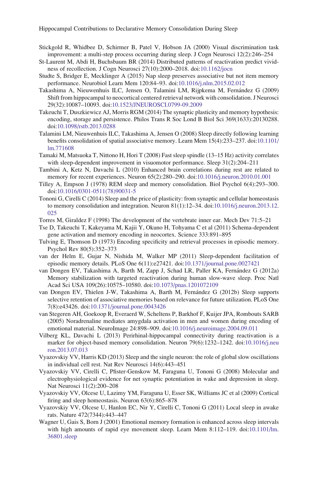- <span id="page-34-0"></span>Stickgold R, Whidbee D, Schirmer B, Patel V, Hobson JA (2000) Visual discrimination task improvement: a multi-step process occurring during sleep. J Cogn Neurosci 12(2):246–254
- St-Laurent M, Abdi H, Buchsbaum BR (2014) Distributed patterns of reactivation predict vividness of recollection. J Cogn Neurosci 27(10):2000–2018. doi[:10.1162/jocn](http://dx.doi.org/10.1162/jocn)
- Studte S, Bridger E, Mecklinger A (2015) Nap sleep preserves associative but not item memory performance. Neurobiol Learn Mem 120:84–93. doi:[10.1016/j.nlm.2015.02.012](http://dx.doi.org/10.1016/j.nlm.2015.02.012)
- Takashima A, Nieuwenhuis ILC, Jensen O, Talamini LM, Rijpkema M, Fernández G (2009) Shift from hippocampal to neocortical centered retrieval network with consolidation. J Neurosci 29(32):10087–10093. doi:[10.1523/JNEUROSCI.0799-09.2009](http://dx.doi.org/10.1523/JNEUROSCI.0799-09.2009)
- Takeuchi T, Duszkiewicz AJ, Morris RGM (2014) The synaptic plasticity and memory hypothesis: encoding, storage and persistence. Philos Trans R Soc Lond B Biol Sci 369(1633):20130288. doi[:10.1098/rstb.2013.0288](http://dx.doi.org/10.1098/rstb.2013.0288)
- Talamini LM, Nieuwenhuis ILC, Takashima A, Jensen O (2008) Sleep directly following learning benefits consolidation of spatial associative memory. Learn Mem 15(4):233–237. doi:[10.1101/](http://dx.doi.org/10.1101/lm.771608) [lm.771608](http://dx.doi.org/10.1101/lm.771608)
- Tamaki M, Matsuoka T, Nittono H, Hori T (2008) Fast sleep spindle (13–15 Hz) activity correlates with sleep-dependent improvement in visuomotor performance. Sleep 31(2):204–211
- Tambini A, Ketz N, Davachi L (2010) Enhanced brain correlations during rest are related to memory for recent experiences. Neuron 65(2):280–290. doi[:10.1016/j.neuron.2010.01.001](http://dx.doi.org/10.1016/j.neuron.2010.01.001)
- Tilley A, Empson J (1978) REM sleep and memory consolidation. Biol Psychol 6(4):293–300. doi[:10.1016/0301-0511\(78\)90031-5](http://dx.doi.org/10.1016/0301-0511(78)90031-5)
- Tononi G, Cirelli C (2014) Sleep and the price of plasticity: from synaptic and cellular homeostasis to memory consolidation and integration. Neuron 81(1):12–34. doi:[10.1016/j.neuron.2013.12.](http://dx.doi.org/10.1016/j.neuron.2013.12.025) [025](http://dx.doi.org/10.1016/j.neuron.2013.12.025)
- Torres M, Giraldez F (1998) The development of the vertebrate inner ear. Mech Dev 71:5–21
- Tse D, Takeuchi T, Kakeyama M, Kajii Y, Okuno H, Tohyama C et al (2011) Schema-dependent gene activation and memory encoding in neocortex. Science 333:891–895
- Tulving E, Thomson D (1973) Encoding specificity and retrieval processes in episodic memory. Psychol Rev 80(5):352–373
- van der Helm E, Gujar N, Nishida M, Walker MP (2011) Sleep-dependent facilitation of episodic memory details. PLoS One 6(11):e27421. doi:[10.1371/journal.pone.0027421](http://dx.doi.org/10.1371/journal.pone.0027421)
- van Dongen EV, Takashima A, Barth M, Zapp J, Schad LR, Paller KA, Fernández G (2012a) Memory stabilization with targeted reactivation during human slow-wave sleep. Proc Natl Acad Sci USA 109(26):10575–10580. doi[:10.1073/pnas.1201072109](http://dx.doi.org/10.1073/pnas.1201072109)
- van Dongen EV, Thielen J-W, Takashima A, Barth M, Fernández G (2012b) Sleep supports selective retention of associative memories based on relevance for future utilization. PLoS One 7(8):e43426. doi:[10.1371/journal.pone.0043426](http://dx.doi.org/10.1371/journal.pone.0043426)
- van Stegeren AH, Goekoop R, Everaerd W, Scheltens P, Barkhof F, Kuijer JPA, Rombouts SARB (2005) Noradrenaline mediates amygdala activation in men and women during encoding of emotional material. NeuroImage 24:898–909. doi:[10.1016/j.neuroimage.2004.09.011](http://dx.doi.org/10.1016/j.neuroimage.2004.09.011)
- Vilberg KL, Davachi L (2013) Perirhinal-hippocampal connectivity during reactivation is a marker for object-based memory consolidation. Neuron 79(6):1232–1242. doi:[10.1016/j.neu](http://dx.doi.org/10.1016/j.neuron.2013.07.013) [ron.2013.07.013](http://dx.doi.org/10.1016/j.neuron.2013.07.013)
- Vyazovskiy VV, Harris KD (2013) Sleep and the single neuron: the role of global slow oscillations in individual cell rest. Nat Rev Neurosci 14(6):443–451
- Vyazovskiy VV, Cirelli C, Pfister-Genskow M, Faraguna U, Tononi G (2008) Molecular and electrophysiological evidence for net synaptic potentiation in wake and depression in sleep. Nat Neurosci 11(2):200–208
- Vyazovskiy VV, Olcese U, Lazimy YM, Faraguna U, Esser SK, Williams JC et al (2009) Cortical firing and sleep homeostasis. Neuron 63(6):865–878
- Vyazovskiy VV, Olcese U, Hanlon EC, Nir Y, Cirelli C, Tononi G (2011) Local sleep in awake rats. Nature 472(7344):443–447
- Wagner U, Gais S, Born J (2001) Emotional memory formation is enhanced across sleep intervals with high amounts of rapid eye movement sleep. Learn Mem 8:112–119. doi[:10.1101/lm.](http://dx.doi.org/10.1101/lm.36801.sleep) [36801.sleep](http://dx.doi.org/10.1101/lm.36801.sleep)